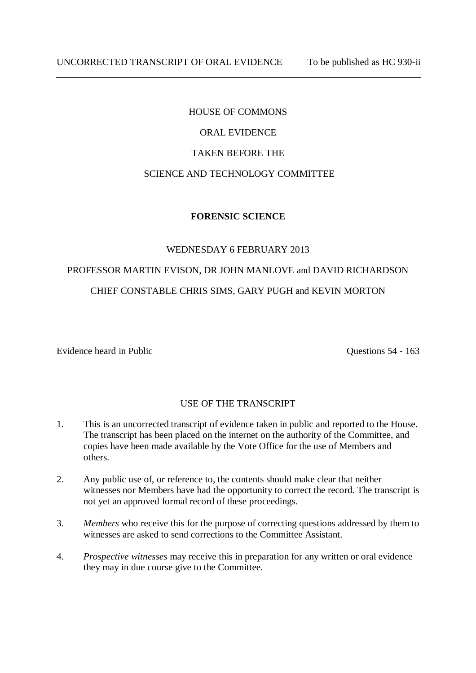# HOUSE OF COMMONS ORAL EVIDENCE TAKEN BEFORE THE SCIENCE AND TECHNOLOGY COMMITTEE

# **FORENSIC SCIENCE**

## WEDNESDAY 6 FEBRUARY 2013

# PROFESSOR MARTIN EVISON, DR JOHN MANLOVE and DAVID RICHARDSON CHIEF CONSTABLE CHRIS SIMS, GARY PUGH and KEVIN MORTON

Evidence heard in Public Questions 54 - 163

# USE OF THE TRANSCRIPT

- 1. This is an uncorrected transcript of evidence taken in public and reported to the House. The transcript has been placed on the internet on the authority of the Committee, and copies have been made available by the Vote Office for the use of Members and others.
- 2. Any public use of, or reference to, the contents should make clear that neither witnesses nor Members have had the opportunity to correct the record. The transcript is not yet an approved formal record of these proceedings.
- 3. *Members* who receive this for the purpose of correcting questions addressed by them to witnesses are asked to send corrections to the Committee Assistant.
- 4. *Prospective witnesses* may receive this in preparation for any written or oral evidence they may in due course give to the Committee.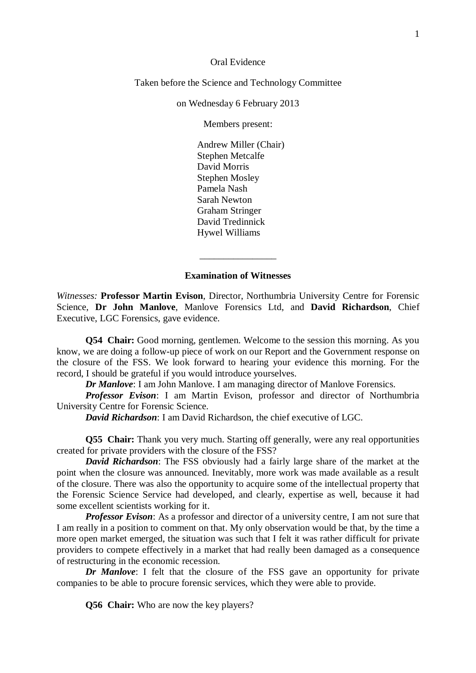Oral Evidence

Taken before the Science and Technology Committee

on Wednesday 6 February 2013

Members present:

Andrew Miller (Chair) Stephen Metcalfe David Morris Stephen Mosley Pamela Nash Sarah Newton Graham Stringer David Tredinnick Hywel Williams

### **Examination of Witnesses**

\_\_\_\_\_\_\_\_\_\_\_\_\_\_\_\_

*Witnesses:* **Professor Martin Evison**, Director, Northumbria University Centre for Forensic Science, **Dr John Manlove**, Manlove Forensics Ltd, and **David Richardson**, Chief Executive, LGC Forensics, gave evidence.

**Q54 Chair:** Good morning, gentlemen. Welcome to the session this morning. As you know, we are doing a follow-up piece of work on our Report and the Government response on the closure of the FSS. We look forward to hearing your evidence this morning. For the record, I should be grateful if you would introduce yourselves.

*Dr Manlove*: I am John Manlove. I am managing director of Manlove Forensics.

*Professor Evison*: I am Martin Evison, professor and director of Northumbria University Centre for Forensic Science.

*David Richardson*: I am David Richardson, the chief executive of LGC.

**Q55 Chair:** Thank you very much. Starting off generally, were any real opportunities created for private providers with the closure of the FSS?

*David Richardson*: The FSS obviously had a fairly large share of the market at the point when the closure was announced. Inevitably, more work was made available as a result of the closure. There was also the opportunity to acquire some of the intellectual property that the Forensic Science Service had developed, and clearly, expertise as well, because it had some excellent scientists working for it.

*Professor Evison*: As a professor and director of a university centre, I am not sure that I am really in a position to comment on that. My only observation would be that, by the time a more open market emerged, the situation was such that I felt it was rather difficult for private providers to compete effectively in a market that had really been damaged as a consequence of restructuring in the economic recession.

*Dr Manlove*: I felt that the closure of the FSS gave an opportunity for private companies to be able to procure forensic services, which they were able to provide.

**Q56 Chair:** Who are now the key players?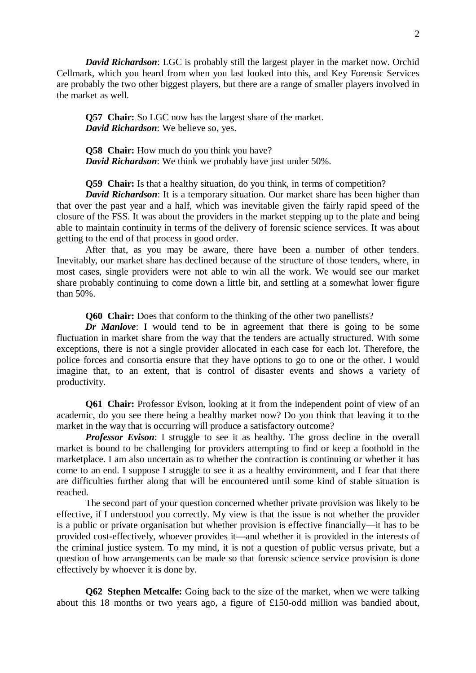*David Richardson*: LGC is probably still the largest player in the market now. Orchid Cellmark, which you heard from when you last looked into this, and Key Forensic Services are probably the two other biggest players, but there are a range of smaller players involved in the market as well.

**Q57 Chair:** So LGC now has the largest share of the market. *David Richardson*: We believe so, yes.

**Q58 Chair:** How much do you think you have? *David Richardson*: We think we probably have just under 50%.

**Q59 Chair:** Is that a healthy situation, do you think, in terms of competition?

*David Richardson*: It is a temporary situation. Our market share has been higher than that over the past year and a half, which was inevitable given the fairly rapid speed of the closure of the FSS. It was about the providers in the market stepping up to the plate and being able to maintain continuity in terms of the delivery of forensic science services. It was about getting to the end of that process in good order.

 After that, as you may be aware, there have been a number of other tenders. Inevitably, our market share has declined because of the structure of those tenders, where, in most cases, single providers were not able to win all the work. We would see our market share probably continuing to come down a little bit, and settling at a somewhat lower figure than 50%.

**Q60 Chair:** Does that conform to the thinking of the other two panellists?

*Dr Manlove*: I would tend to be in agreement that there is going to be some fluctuation in market share from the way that the tenders are actually structured. With some exceptions, there is not a single provider allocated in each case for each lot. Therefore, the police forces and consortia ensure that they have options to go to one or the other. I would imagine that, to an extent, that is control of disaster events and shows a variety of productivity.

**Q61 Chair:** Professor Evison, looking at it from the independent point of view of an academic, do you see there being a healthy market now? Do you think that leaving it to the market in the way that is occurring will produce a satisfactory outcome?

*Professor Evison*: I struggle to see it as healthy. The gross decline in the overall market is bound to be challenging for providers attempting to find or keep a foothold in the marketplace. I am also uncertain as to whether the contraction is continuing or whether it has come to an end. I suppose I struggle to see it as a healthy environment, and I fear that there are difficulties further along that will be encountered until some kind of stable situation is reached.

 The second part of your question concerned whether private provision was likely to be effective, if I understood you correctly. My view is that the issue is not whether the provider is a public or private organisation but whether provision is effective financially—it has to be provided cost-effectively, whoever provides it—and whether it is provided in the interests of the criminal justice system. To my mind, it is not a question of public versus private, but a question of how arrangements can be made so that forensic science service provision is done effectively by whoever it is done by.

**Q62 Stephen Metcalfe:** Going back to the size of the market, when we were talking about this 18 months or two years ago, a figure of £150-odd million was bandied about,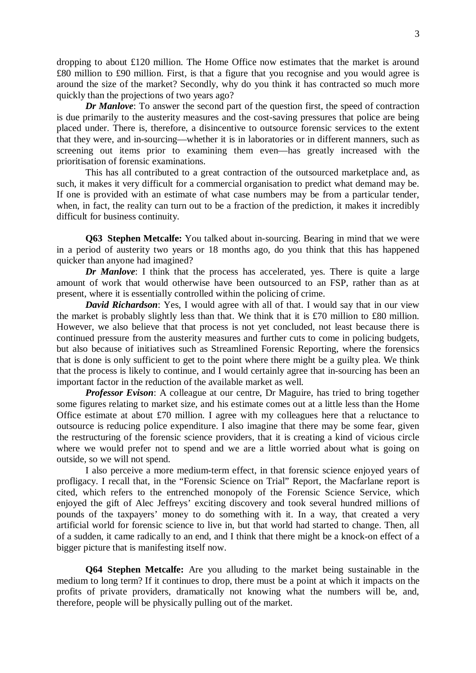dropping to about £120 million. The Home Office now estimates that the market is around £80 million to £90 million. First, is that a figure that you recognise and you would agree is around the size of the market? Secondly, why do you think it has contracted so much more quickly than the projections of two years ago?

*Dr Manlove*: To answer the second part of the question first, the speed of contraction is due primarily to the austerity measures and the cost-saving pressures that police are being placed under. There is, therefore, a disincentive to outsource forensic services to the extent that they were, and in-sourcing—whether it is in laboratories or in different manners, such as screening out items prior to examining them even—has greatly increased with the prioritisation of forensic examinations.

 This has all contributed to a great contraction of the outsourced marketplace and, as such, it makes it very difficult for a commercial organisation to predict what demand may be. If one is provided with an estimate of what case numbers may be from a particular tender, when, in fact, the reality can turn out to be a fraction of the prediction, it makes it incredibly difficult for business continuity.

**Q63 Stephen Metcalfe:** You talked about in-sourcing. Bearing in mind that we were in a period of austerity two years or 18 months ago, do you think that this has happened quicker than anyone had imagined?

*Dr Manlove*: I think that the process has accelerated, yes. There is quite a large amount of work that would otherwise have been outsourced to an FSP, rather than as at present, where it is essentially controlled within the policing of crime.

*David Richardson*: Yes, I would agree with all of that. I would say that in our view the market is probably slightly less than that. We think that it is £70 million to £80 million. However, we also believe that that process is not yet concluded, not least because there is continued pressure from the austerity measures and further cuts to come in policing budgets, but also because of initiatives such as Streamlined Forensic Reporting, where the forensics that is done is only sufficient to get to the point where there might be a guilty plea. We think that the process is likely to continue, and I would certainly agree that in-sourcing has been an important factor in the reduction of the available market as well.

*Professor Evison:* A colleague at our centre, Dr Maguire, has tried to bring together some figures relating to market size, and his estimate comes out at a little less than the Home Office estimate at about £70 million. I agree with my colleagues here that a reluctance to outsource is reducing police expenditure. I also imagine that there may be some fear, given the restructuring of the forensic science providers, that it is creating a kind of vicious circle where we would prefer not to spend and we are a little worried about what is going on outside, so we will not spend.

 I also perceive a more medium-term effect, in that forensic science enjoyed years of profligacy. I recall that, in the "Forensic Science on Trial" Report, the Macfarlane report is cited, which refers to the entrenched monopoly of the Forensic Science Service, which enjoyed the gift of Alec Jeffreys' exciting discovery and took several hundred millions of pounds of the taxpayers' money to do something with it. In a way, that created a very artificial world for forensic science to live in, but that world had started to change. Then, all of a sudden, it came radically to an end, and I think that there might be a knock-on effect of a bigger picture that is manifesting itself now.

**Q64 Stephen Metcalfe:** Are you alluding to the market being sustainable in the medium to long term? If it continues to drop, there must be a point at which it impacts on the profits of private providers, dramatically not knowing what the numbers will be, and, therefore, people will be physically pulling out of the market.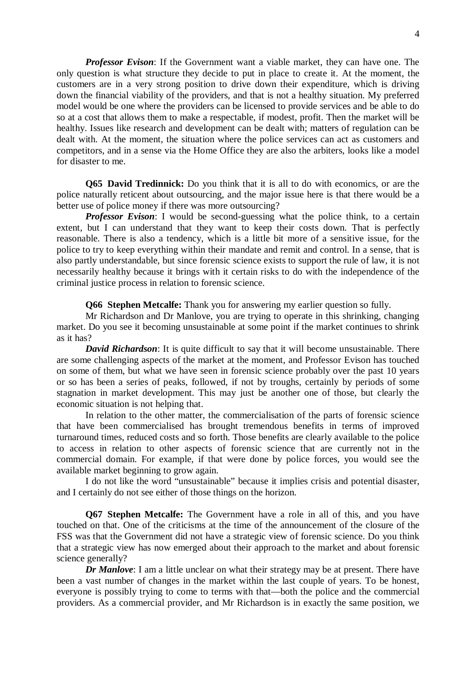*Professor Evison*: If the Government want a viable market, they can have one. The only question is what structure they decide to put in place to create it. At the moment, the customers are in a very strong position to drive down their expenditure, which is driving down the financial viability of the providers, and that is not a healthy situation. My preferred model would be one where the providers can be licensed to provide services and be able to do so at a cost that allows them to make a respectable, if modest, profit. Then the market will be healthy. Issues like research and development can be dealt with; matters of regulation can be dealt with. At the moment, the situation where the police services can act as customers and competitors, and in a sense via the Home Office they are also the arbiters, looks like a model for disaster to me.

**Q65 David Tredinnick:** Do you think that it is all to do with economics, or are the police naturally reticent about outsourcing, and the major issue here is that there would be a better use of police money if there was more outsourcing?

*Professor Evison*: I would be second-guessing what the police think, to a certain extent, but I can understand that they want to keep their costs down. That is perfectly reasonable. There is also a tendency, which is a little bit more of a sensitive issue, for the police to try to keep everything within their mandate and remit and control. In a sense, that is also partly understandable, but since forensic science exists to support the rule of law, it is not necessarily healthy because it brings with it certain risks to do with the independence of the criminal justice process in relation to forensic science.

**Q66 Stephen Metcalfe:** Thank you for answering my earlier question so fully.

 Mr Richardson and Dr Manlove, you are trying to operate in this shrinking, changing market. Do you see it becoming unsustainable at some point if the market continues to shrink as it has?

*David Richardson*: It is quite difficult to say that it will become unsustainable. There are some challenging aspects of the market at the moment, and Professor Evison has touched on some of them, but what we have seen in forensic science probably over the past 10 years or so has been a series of peaks, followed, if not by troughs, certainly by periods of some stagnation in market development. This may just be another one of those, but clearly the economic situation is not helping that.

 In relation to the other matter, the commercialisation of the parts of forensic science that have been commercialised has brought tremendous benefits in terms of improved turnaround times, reduced costs and so forth. Those benefits are clearly available to the police to access in relation to other aspects of forensic science that are currently not in the commercial domain. For example, if that were done by police forces, you would see the available market beginning to grow again.

 I do not like the word "unsustainable" because it implies crisis and potential disaster, and I certainly do not see either of those things on the horizon.

**Q67 Stephen Metcalfe:** The Government have a role in all of this, and you have touched on that. One of the criticisms at the time of the announcement of the closure of the FSS was that the Government did not have a strategic view of forensic science. Do you think that a strategic view has now emerged about their approach to the market and about forensic science generally?

*Dr Manlove*: I am a little unclear on what their strategy may be at present. There have been a vast number of changes in the market within the last couple of years. To be honest, everyone is possibly trying to come to terms with that—both the police and the commercial providers. As a commercial provider, and Mr Richardson is in exactly the same position, we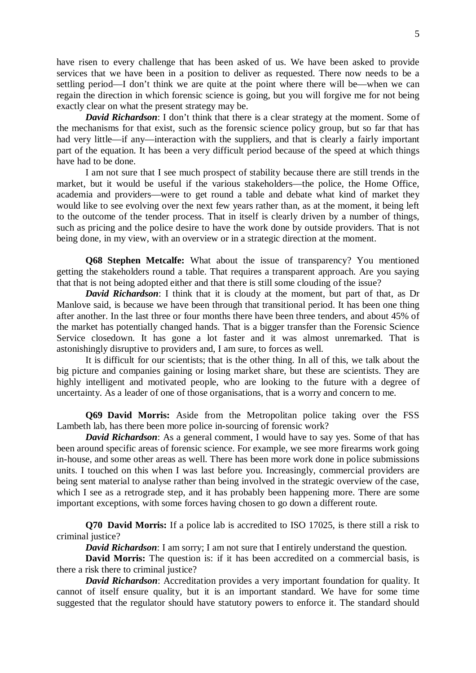have risen to every challenge that has been asked of us. We have been asked to provide services that we have been in a position to deliver as requested. There now needs to be a settling period—I don't think we are quite at the point where there will be—when we can regain the direction in which forensic science is going, but you will forgive me for not being exactly clear on what the present strategy may be.

*David Richardson*: I don't think that there is a clear strategy at the moment. Some of the mechanisms for that exist, such as the forensic science policy group, but so far that has had very little—if any—interaction with the suppliers, and that is clearly a fairly important part of the equation. It has been a very difficult period because of the speed at which things have had to be done.

I am not sure that I see much prospect of stability because there are still trends in the market, but it would be useful if the various stakeholders—the police, the Home Office, academia and providers—were to get round a table and debate what kind of market they would like to see evolving over the next few years rather than, as at the moment, it being left to the outcome of the tender process. That in itself is clearly driven by a number of things, such as pricing and the police desire to have the work done by outside providers. That is not being done, in my view, with an overview or in a strategic direction at the moment.

**Q68 Stephen Metcalfe:** What about the issue of transparency? You mentioned getting the stakeholders round a table. That requires a transparent approach. Are you saying that that is not being adopted either and that there is still some clouding of the issue?

*David Richardson*: I think that it is cloudy at the moment, but part of that, as Dr Manlove said, is because we have been through that transitional period. It has been one thing after another. In the last three or four months there have been three tenders, and about 45% of the market has potentially changed hands. That is a bigger transfer than the Forensic Science Service closedown. It has gone a lot faster and it was almost unremarked. That is astonishingly disruptive to providers and, I am sure, to forces as well.

 It is difficult for our scientists; that is the other thing. In all of this, we talk about the big picture and companies gaining or losing market share, but these are scientists. They are highly intelligent and motivated people, who are looking to the future with a degree of uncertainty. As a leader of one of those organisations, that is a worry and concern to me.

**Q69 David Morris:** Aside from the Metropolitan police taking over the FSS Lambeth lab, has there been more police in-sourcing of forensic work?

*David Richardson*: As a general comment, I would have to say yes. Some of that has been around specific areas of forensic science. For example, we see more firearms work going in-house, and some other areas as well. There has been more work done in police submissions units. I touched on this when I was last before you. Increasingly, commercial providers are being sent material to analyse rather than being involved in the strategic overview of the case, which I see as a retrograde step, and it has probably been happening more. There are some important exceptions, with some forces having chosen to go down a different route.

**Q70 David Morris:** If a police lab is accredited to ISO 17025, is there still a risk to criminal justice?

*David Richardson*: I am sorry; I am not sure that I entirely understand the question.

 **David Morris:** The question is: if it has been accredited on a commercial basis, is there a risk there to criminal justice?

*David Richardson*: Accreditation provides a very important foundation for quality. It cannot of itself ensure quality, but it is an important standard. We have for some time suggested that the regulator should have statutory powers to enforce it. The standard should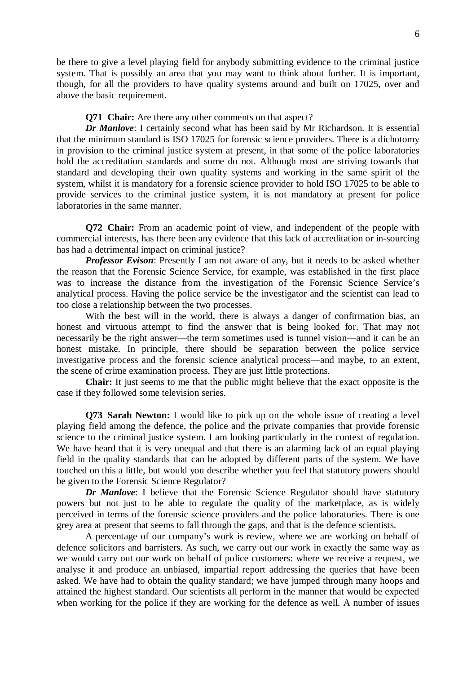be there to give a level playing field for anybody submitting evidence to the criminal justice system. That is possibly an area that you may want to think about further. It is important, though, for all the providers to have quality systems around and built on 17025, over and above the basic requirement.

#### **Q71 Chair:** Are there any other comments on that aspect?

*Dr Manlove*: I certainly second what has been said by Mr Richardson. It is essential that the minimum standard is ISO 17025 for forensic science providers. There is a dichotomy in provision to the criminal justice system at present, in that some of the police laboratories hold the accreditation standards and some do not. Although most are striving towards that standard and developing their own quality systems and working in the same spirit of the system, whilst it is mandatory for a forensic science provider to hold ISO 17025 to be able to provide services to the criminal justice system, it is not mandatory at present for police laboratories in the same manner.

**Q72 Chair:** From an academic point of view, and independent of the people with commercial interests, has there been any evidence that this lack of accreditation or in-sourcing has had a detrimental impact on criminal justice?

*Professor Evison*: Presently I am not aware of any, but it needs to be asked whether the reason that the Forensic Science Service, for example, was established in the first place was to increase the distance from the investigation of the Forensic Science Service's analytical process. Having the police service be the investigator and the scientist can lead to too close a relationship between the two processes.

 With the best will in the world, there is always a danger of confirmation bias, an honest and virtuous attempt to find the answer that is being looked for. That may not necessarily be the right answer—the term sometimes used is tunnel vision—and it can be an honest mistake. In principle, there should be separation between the police service investigative process and the forensic science analytical process—and maybe, to an extent, the scene of crime examination process. They are just little protections.

 **Chair:** It just seems to me that the public might believe that the exact opposite is the case if they followed some television series.

**Q73 Sarah Newton:** I would like to pick up on the whole issue of creating a level playing field among the defence, the police and the private companies that provide forensic science to the criminal justice system. I am looking particularly in the context of regulation. We have heard that it is very unequal and that there is an alarming lack of an equal playing field in the quality standards that can be adopted by different parts of the system. We have touched on this a little, but would you describe whether you feel that statutory powers should be given to the Forensic Science Regulator?

*Dr Manlove*: I believe that the Forensic Science Regulator should have statutory powers but not just to be able to regulate the quality of the marketplace, as is widely perceived in terms of the forensic science providers and the police laboratories. There is one grey area at present that seems to fall through the gaps, and that is the defence scientists.

 A percentage of our company's work is review, where we are working on behalf of defence solicitors and barristers. As such, we carry out our work in exactly the same way as we would carry out our work on behalf of police customers: where we receive a request, we analyse it and produce an unbiased, impartial report addressing the queries that have been asked. We have had to obtain the quality standard; we have jumped through many hoops and attained the highest standard. Our scientists all perform in the manner that would be expected when working for the police if they are working for the defence as well. A number of issues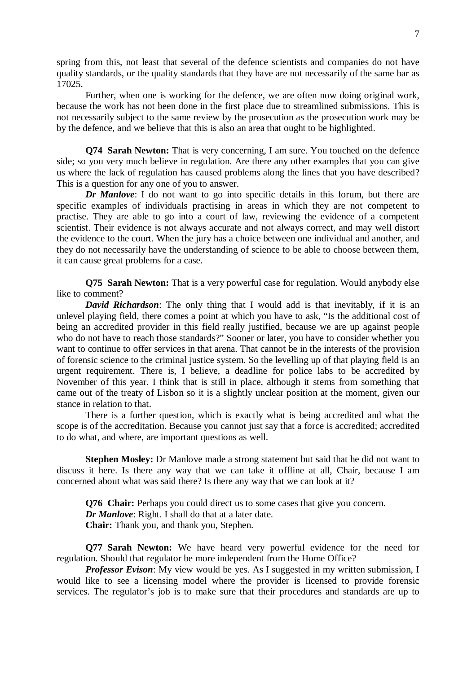spring from this, not least that several of the defence scientists and companies do not have quality standards, or the quality standards that they have are not necessarily of the same bar as 17025.

 Further, when one is working for the defence, we are often now doing original work, because the work has not been done in the first place due to streamlined submissions. This is not necessarily subject to the same review by the prosecution as the prosecution work may be by the defence, and we believe that this is also an area that ought to be highlighted.

**Q74 Sarah Newton:** That is very concerning, I am sure. You touched on the defence side; so you very much believe in regulation. Are there any other examples that you can give us where the lack of regulation has caused problems along the lines that you have described? This is a question for any one of you to answer.

*Dr Manlove*: I do not want to go into specific details in this forum, but there are specific examples of individuals practising in areas in which they are not competent to practise. They are able to go into a court of law, reviewing the evidence of a competent scientist. Their evidence is not always accurate and not always correct, and may well distort the evidence to the court. When the jury has a choice between one individual and another, and they do not necessarily have the understanding of science to be able to choose between them, it can cause great problems for a case.

**Q75 Sarah Newton:** That is a very powerful case for regulation. Would anybody else like to comment?

*David Richardson*: The only thing that I would add is that inevitably, if it is an unlevel playing field, there comes a point at which you have to ask, "Is the additional cost of being an accredited provider in this field really justified, because we are up against people who do not have to reach those standards?" Sooner or later, you have to consider whether you want to continue to offer services in that arena. That cannot be in the interests of the provision of forensic science to the criminal justice system. So the levelling up of that playing field is an urgent requirement. There is, I believe, a deadline for police labs to be accredited by November of this year. I think that is still in place, although it stems from something that came out of the treaty of Lisbon so it is a slightly unclear position at the moment, given our stance in relation to that.

 There is a further question, which is exactly what is being accredited and what the scope is of the accreditation. Because you cannot just say that a force is accredited; accredited to do what, and where, are important questions as well.

**Stephen Mosley:** Dr Manlove made a strong statement but said that he did not want to discuss it here. Is there any way that we can take it offline at all, Chair, because I am concerned about what was said there? Is there any way that we can look at it?

**Q76 Chair:** Perhaps you could direct us to some cases that give you concern. *Dr Manlove*: Right. I shall do that at a later date.  **Chair:** Thank you, and thank you, Stephen.

**Q77 Sarah Newton:** We have heard very powerful evidence for the need for regulation. Should that regulator be more independent from the Home Office?

*Professor Evison*: My view would be yes. As I suggested in my written submission, I would like to see a licensing model where the provider is licensed to provide forensic services. The regulator's job is to make sure that their procedures and standards are up to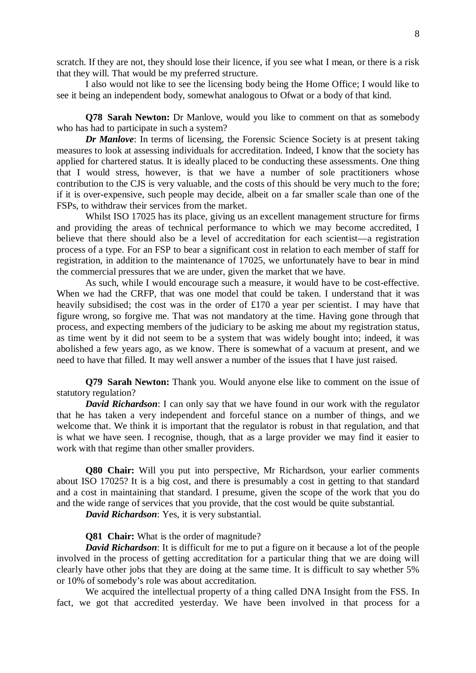scratch. If they are not, they should lose their licence, if you see what I mean, or there is a risk that they will. That would be my preferred structure.

I also would not like to see the licensing body being the Home Office; I would like to see it being an independent body, somewhat analogous to Ofwat or a body of that kind.

**Q78 Sarah Newton:** Dr Manlove, would you like to comment on that as somebody who has had to participate in such a system?

*Dr Manlove*: In terms of licensing, the Forensic Science Society is at present taking measures to look at assessing individuals for accreditation. Indeed, I know that the society has applied for chartered status. It is ideally placed to be conducting these assessments. One thing that I would stress, however, is that we have a number of sole practitioners whose contribution to the CJS is very valuable, and the costs of this should be very much to the fore; if it is over-expensive, such people may decide, albeit on a far smaller scale than one of the FSPs, to withdraw their services from the market.

 Whilst ISO 17025 has its place, giving us an excellent management structure for firms and providing the areas of technical performance to which we may become accredited, I believe that there should also be a level of accreditation for each scientist—a registration process of a type. For an FSP to bear a significant cost in relation to each member of staff for registration, in addition to the maintenance of 17025, we unfortunately have to bear in mind the commercial pressures that we are under, given the market that we have.

 As such, while I would encourage such a measure, it would have to be cost-effective. When we had the CRFP, that was one model that could be taken. I understand that it was heavily subsidised; the cost was in the order of £170 a year per scientist. I may have that figure wrong, so forgive me. That was not mandatory at the time. Having gone through that process, and expecting members of the judiciary to be asking me about my registration status, as time went by it did not seem to be a system that was widely bought into; indeed, it was abolished a few years ago, as we know. There is somewhat of a vacuum at present, and we need to have that filled. It may well answer a number of the issues that I have just raised.

**Q79 Sarah Newton:** Thank you. Would anyone else like to comment on the issue of statutory regulation?

*David Richardson*: I can only say that we have found in our work with the regulator that he has taken a very independent and forceful stance on a number of things, and we welcome that. We think it is important that the regulator is robust in that regulation, and that is what we have seen. I recognise, though, that as a large provider we may find it easier to work with that regime than other smaller providers.

**Q80 Chair:** Will you put into perspective, Mr Richardson, your earlier comments about ISO 17025? It is a big cost, and there is presumably a cost in getting to that standard and a cost in maintaining that standard. I presume, given the scope of the work that you do and the wide range of services that you provide, that the cost would be quite substantial.

*David Richardson*: Yes, it is very substantial.

#### **Q81 Chair:** What is the order of magnitude?

*David Richardson*: It is difficult for me to put a figure on it because a lot of the people involved in the process of getting accreditation for a particular thing that we are doing will clearly have other jobs that they are doing at the same time. It is difficult to say whether 5% or 10% of somebody's role was about accreditation.

We acquired the intellectual property of a thing called DNA Insight from the FSS. In fact, we got that accredited yesterday. We have been involved in that process for a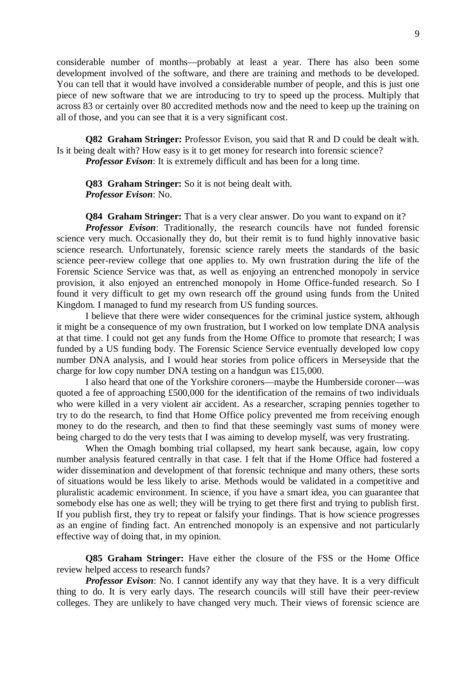considerable number of months—probably at least a year. There has also been some development involved of the software, and there are training and methods to be developed. You can tell that it would have involved a considerable number of people, and this is just one piece of new software that we are introducing to try to speed up the process. Multiply that across 83 or certainly over 80 accredited methods now and the need to keep up the training on all of those, and you can see that it is a very significant cost.

**Q82 Graham Stringer:** Professor Evison, you said that R and D could be dealt with. Is it being dealt with? How easy is it to get money for research into forensic science? *Professor Evison*: It is extremely difficult and has been for a long time.

**Q83 Graham Stringer:** So it is not being dealt with. *Professor Evison*: No.

**Q84 Graham Stringer:** That is a very clear answer. Do you want to expand on it? *Professor Evison*: Traditionally, the research councils have not funded forensic science very much. Occasionally they do, but their remit is to fund highly innovative basic science research. Unfortunately, forensic science rarely meets the standards of the basic science peer-review college that one applies to. My own frustration during the life of the Forensic Science Service was that, as well as enjoying an entrenched monopoly in service provision, it also enjoyed an entrenched monopoly in Home Office-funded research. So I found it very difficult to get my own research off the ground using funds from the United Kingdom. I managed to fund my research from US funding sources.

 I believe that there were wider consequences for the criminal justice system, although it might be a consequence of my own frustration, but I worked on low template DNA analysis at that time. I could not get any funds from the Home Office to promote that research; I was funded by a US funding body. The Forensic Science Service eventually developed low copy number DNA analysis, and I would hear stories from police officers in Merseyside that the charge for low copy number DNA testing on a handgun was £15,000.

I also heard that one of the Yorkshire coroners—maybe the Humberside coroner—was quoted a fee of approaching £500,000 for the identification of the remains of two individuals who were killed in a very violent air accident. As a researcher, scraping pennies together to try to do the research, to find that Home Office policy prevented me from receiving enough money to do the research, and then to find that these seemingly vast sums of money were being charged to do the very tests that I was aiming to develop myself, was very frustrating.

 When the Omagh bombing trial collapsed, my heart sank because, again, low copy number analysis featured centrally in that case. I felt that if the Home Office had fostered a wider dissemination and development of that forensic technique and many others, these sorts of situations would be less likely to arise. Methods would be validated in a competitive and pluralistic academic environment. In science, if you have a smart idea, you can guarantee that somebody else has one as well; they will be trying to get there first and trying to publish first. If you publish first, they try to repeat or falsify your findings. That is how science progresses as an engine of finding fact. An entrenched monopoly is an expensive and not particularly effective way of doing that, in my opinion.

**Q85 Graham Stringer:** Have either the closure of the FSS or the Home Office review helped access to research funds?

*Professor Evison*: No. I cannot identify any way that they have. It is a very difficult thing to do. It is very early days. The research councils will still have their peer-review colleges. They are unlikely to have changed very much. Their views of forensic science are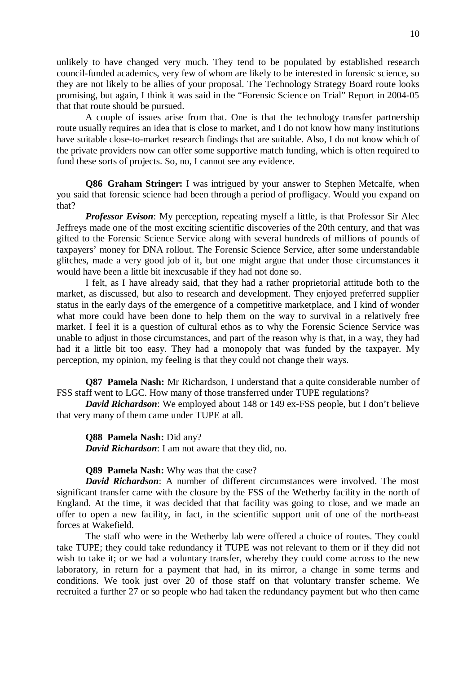unlikely to have changed very much. They tend to be populated by established research council-funded academics, very few of whom are likely to be interested in forensic science, so they are not likely to be allies of your proposal. The Technology Strategy Board route looks promising, but again, I think it was said in the "Forensic Science on Trial" Report in 2004-05 that that route should be pursued.

 A couple of issues arise from that. One is that the technology transfer partnership route usually requires an idea that is close to market, and I do not know how many institutions have suitable close-to-market research findings that are suitable. Also, I do not know which of the private providers now can offer some supportive match funding, which is often required to fund these sorts of projects. So, no, I cannot see any evidence.

**Q86 Graham Stringer:** I was intrigued by your answer to Stephen Metcalfe, when you said that forensic science had been through a period of profligacy. Would you expand on that?

*Professor Evison*: My perception, repeating myself a little, is that Professor Sir Alec Jeffreys made one of the most exciting scientific discoveries of the 20th century, and that was gifted to the Forensic Science Service along with several hundreds of millions of pounds of taxpayers' money for DNA rollout. The Forensic Science Service, after some understandable glitches, made a very good job of it, but one might argue that under those circumstances it would have been a little bit inexcusable if they had not done so.

 I felt, as I have already said, that they had a rather proprietorial attitude both to the market, as discussed, but also to research and development. They enjoyed preferred supplier status in the early days of the emergence of a competitive marketplace, and I kind of wonder what more could have been done to help them on the way to survival in a relatively free market. I feel it is a question of cultural ethos as to why the Forensic Science Service was unable to adjust in those circumstances, and part of the reason why is that, in a way, they had had it a little bit too easy. They had a monopoly that was funded by the taxpayer. My perception, my opinion, my feeling is that they could not change their ways.

**Q87 Pamela Nash:** Mr Richardson, I understand that a quite considerable number of FSS staff went to LGC. How many of those transferred under TUPE regulations?

*David Richardson*: We employed about 148 or 149 ex-FSS people, but I don't believe that very many of them came under TUPE at all.

**Q88 Pamela Nash:** Did any? *David Richardson*: I am not aware that they did, no.

**Q89 Pamela Nash:** Why was that the case?

*David Richardson*: A number of different circumstances were involved. The most significant transfer came with the closure by the FSS of the Wetherby facility in the north of England. At the time, it was decided that that facility was going to close, and we made an offer to open a new facility, in fact, in the scientific support unit of one of the north-east forces at Wakefield.

The staff who were in the Wetherby lab were offered a choice of routes. They could take TUPE; they could take redundancy if TUPE was not relevant to them or if they did not wish to take it; or we had a voluntary transfer, whereby they could come across to the new laboratory, in return for a payment that had, in its mirror, a change in some terms and conditions. We took just over 20 of those staff on that voluntary transfer scheme. We recruited a further 27 or so people who had taken the redundancy payment but who then came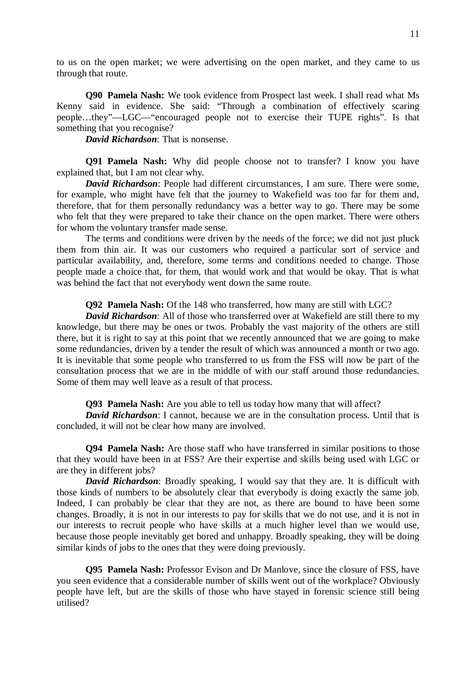to us on the open market; we were advertising on the open market, and they came to us through that route.

**Q90 Pamela Nash:** We took evidence from Prospect last week. I shall read what Ms Kenny said in evidence. She said: "Through a combination of effectively scaring people…they"—LGC—"encouraged people not to exercise their TUPE rights". Is that something that you recognise?

*David Richardson*: That is nonsense.

**Q91 Pamela Nash:** Why did people choose not to transfer? I know you have explained that, but I am not clear why.

*David Richardson*: People had different circumstances, I am sure. There were some, for example, who might have felt that the journey to Wakefield was too far for them and, therefore, that for them personally redundancy was a better way to go. There may be some who felt that they were prepared to take their chance on the open market. There were others for whom the voluntary transfer made sense.

 The terms and conditions were driven by the needs of the force; we did not just pluck them from thin air. It was our customers who required a particular sort of service and particular availability, and, therefore, some terms and conditions needed to change. Those people made a choice that, for them, that would work and that would be okay. That is what was behind the fact that not everybody went down the same route.

**Q92 Pamela Nash:** Of the 148 who transferred, how many are still with LGC?

*David Richardson*: All of those who transferred over at Wakefield are still there to my knowledge, but there may be ones or twos. Probably the vast majority of the others are still there, but it is right to say at this point that we recently announced that we are going to make some redundancies, driven by a tender the result of which was announced a month or two ago. It is inevitable that some people who transferred to us from the FSS will now be part of the consultation process that we are in the middle of with our staff around those redundancies. Some of them may well leave as a result of that process.

**Q93 Pamela Nash:** Are you able to tell us today how many that will affect?

*David Richardson*: I cannot, because we are in the consultation process. Until that is concluded, it will not be clear how many are involved.

**Q94 Pamela Nash:** Are those staff who have transferred in similar positions to those that they would have been in at FSS? Are their expertise and skills being used with LGC or are they in different jobs?

*David Richardson*: Broadly speaking, I would say that they are. It is difficult with those kinds of numbers to be absolutely clear that everybody is doing exactly the same job. Indeed, I can probably be clear that they are not, as there are bound to have been some changes. Broadly, it is not in our interests to pay for skills that we do not use, and it is not in our interests to recruit people who have skills at a much higher level than we would use, because those people inevitably get bored and unhappy. Broadly speaking, they will be doing similar kinds of jobs to the ones that they were doing previously.

**Q95 Pamela Nash:** Professor Evison and Dr Manlove, since the closure of FSS, have you seen evidence that a considerable number of skills went out of the workplace? Obviously people have left, but are the skills of those who have stayed in forensic science still being utilised?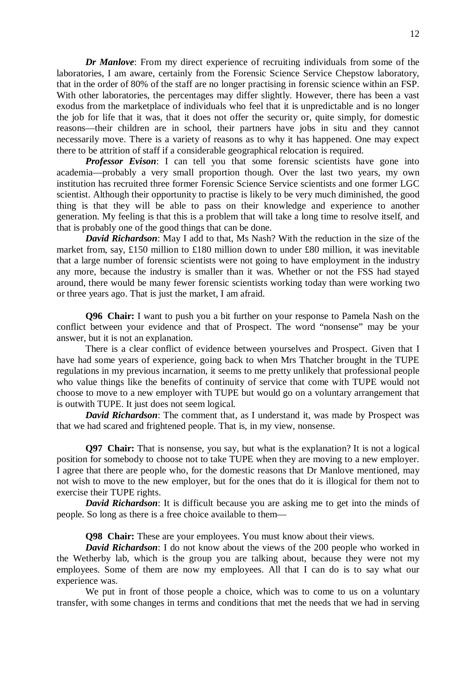*Dr Manlove*: From my direct experience of recruiting individuals from some of the laboratories, I am aware, certainly from the Forensic Science Service Chepstow laboratory, that in the order of 80% of the staff are no longer practising in forensic science within an FSP. With other laboratories, the percentages may differ slightly. However, there has been a vast exodus from the marketplace of individuals who feel that it is unpredictable and is no longer the job for life that it was, that it does not offer the security or, quite simply, for domestic reasons—their children are in school, their partners have jobs in situ and they cannot necessarily move. There is a variety of reasons as to why it has happened. One may expect there to be attrition of staff if a considerable geographical relocation is required.

**Professor Evison:** I can tell you that some forensic scientists have gone into academia—probably a very small proportion though. Over the last two years, my own institution has recruited three former Forensic Science Service scientists and one former LGC scientist. Although their opportunity to practise is likely to be very much diminished, the good thing is that they will be able to pass on their knowledge and experience to another generation. My feeling is that this is a problem that will take a long time to resolve itself, and that is probably one of the good things that can be done.

*David Richardson*: May I add to that, Ms Nash? With the reduction in the size of the market from, say, £150 million to £180 million down to under £80 million, it was inevitable that a large number of forensic scientists were not going to have employment in the industry any more, because the industry is smaller than it was. Whether or not the FSS had stayed around, there would be many fewer forensic scientists working today than were working two or three years ago. That is just the market, I am afraid.

**Q96 Chair:** I want to push you a bit further on your response to Pamela Nash on the conflict between your evidence and that of Prospect. The word "nonsense" may be your answer, but it is not an explanation.

 There is a clear conflict of evidence between yourselves and Prospect. Given that I have had some years of experience, going back to when Mrs Thatcher brought in the TUPE regulations in my previous incarnation, it seems to me pretty unlikely that professional people who value things like the benefits of continuity of service that come with TUPE would not choose to move to a new employer with TUPE but would go on a voluntary arrangement that is outwith TUPE. It just does not seem logical.

*David Richardson*: The comment that, as I understand it, was made by Prospect was that we had scared and frightened people. That is, in my view, nonsense.

**Q97 Chair:** That is nonsense, you say, but what is the explanation? It is not a logical position for somebody to choose not to take TUPE when they are moving to a new employer. I agree that there are people who, for the domestic reasons that Dr Manlove mentioned, may not wish to move to the new employer, but for the ones that do it is illogical for them not to exercise their TUPE rights.

*David Richardson*: It is difficult because you are asking me to get into the minds of people. So long as there is a free choice available to them—

**Q98 Chair:** These are your employees. You must know about their views.

*David Richardson*: I do not know about the views of the 200 people who worked in the Wetherby lab, which is the group you are talking about, because they were not my employees. Some of them are now my employees. All that I can do is to say what our experience was.

We put in front of those people a choice, which was to come to us on a voluntary transfer, with some changes in terms and conditions that met the needs that we had in serving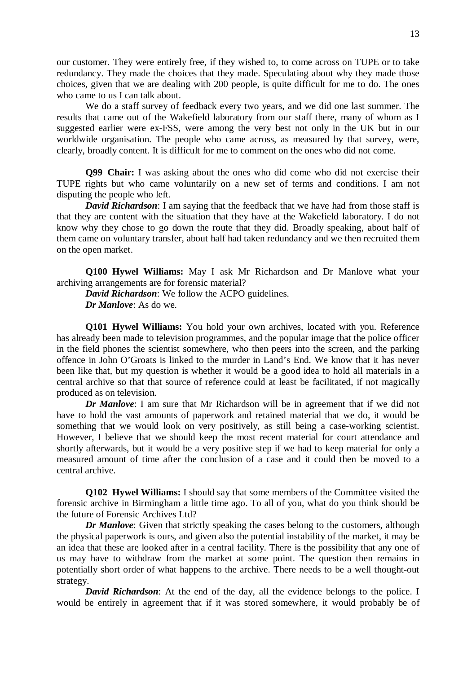our customer. They were entirely free, if they wished to, to come across on TUPE or to take redundancy. They made the choices that they made. Speculating about why they made those choices, given that we are dealing with 200 people, is quite difficult for me to do. The ones who came to us I can talk about.

 We do a staff survey of feedback every two years, and we did one last summer. The results that came out of the Wakefield laboratory from our staff there, many of whom as I suggested earlier were ex-FSS, were among the very best not only in the UK but in our worldwide organisation. The people who came across, as measured by that survey, were, clearly, broadly content. It is difficult for me to comment on the ones who did not come.

**Q99 Chair:** I was asking about the ones who did come who did not exercise their TUPE rights but who came voluntarily on a new set of terms and conditions. I am not disputing the people who left.

*David Richardson*: I am saying that the feedback that we have had from those staff is that they are content with the situation that they have at the Wakefield laboratory. I do not know why they chose to go down the route that they did. Broadly speaking, about half of them came on voluntary transfer, about half had taken redundancy and we then recruited them on the open market.

**Q100 Hywel Williams:** May I ask Mr Richardson and Dr Manlove what your archiving arrangements are for forensic material?

*David Richardson*: We follow the ACPO guidelines. *Dr Manlove*: As do we.

**Q101 Hywel Williams:** You hold your own archives, located with you. Reference has already been made to television programmes, and the popular image that the police officer in the field phones the scientist somewhere, who then peers into the screen, and the parking offence in John O'Groats is linked to the murder in Land's End. We know that it has never been like that, but my question is whether it would be a good idea to hold all materials in a central archive so that that source of reference could at least be facilitated, if not magically produced as on television.

*Dr Manlove*: I am sure that Mr Richardson will be in agreement that if we did not have to hold the vast amounts of paperwork and retained material that we do, it would be something that we would look on very positively, as still being a case-working scientist. However, I believe that we should keep the most recent material for court attendance and shortly afterwards, but it would be a very positive step if we had to keep material for only a measured amount of time after the conclusion of a case and it could then be moved to a central archive.

**Q102 Hywel Williams:** I should say that some members of the Committee visited the forensic archive in Birmingham a little time ago. To all of you, what do you think should be the future of Forensic Archives Ltd?

*Dr Manlove*: Given that strictly speaking the cases belong to the customers, although the physical paperwork is ours, and given also the potential instability of the market, it may be an idea that these are looked after in a central facility. There is the possibility that any one of us may have to withdraw from the market at some point. The question then remains in potentially short order of what happens to the archive. There needs to be a well thought-out strategy.

*David Richardson*: At the end of the day, all the evidence belongs to the police. I would be entirely in agreement that if it was stored somewhere, it would probably be of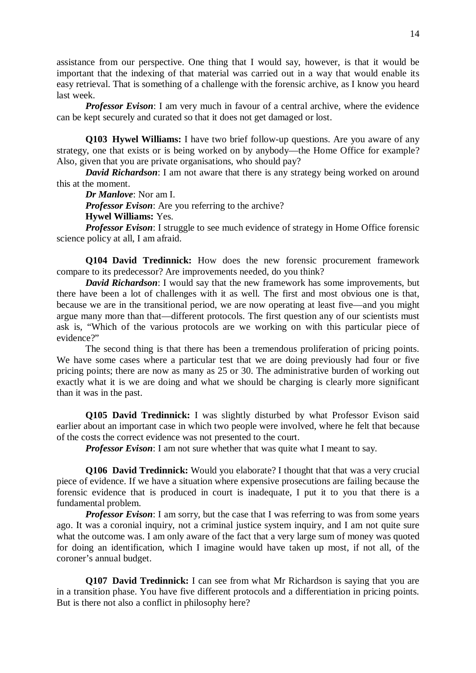assistance from our perspective. One thing that I would say, however, is that it would be important that the indexing of that material was carried out in a way that would enable its easy retrieval. That is something of a challenge with the forensic archive, as I know you heard last week.

*Professor Evison*: I am very much in favour of a central archive, where the evidence can be kept securely and curated so that it does not get damaged or lost.

**Q103 Hywel Williams:** I have two brief follow-up questions. Are you aware of any strategy, one that exists or is being worked on by anybody—the Home Office for example? Also, given that you are private organisations, who should pay?

*David Richardson*: I am not aware that there is any strategy being worked on around this at the moment.

*Dr Manlove*: Nor am I.

*Professor Evison*: Are you referring to the archive?

**Hywel Williams:** Yes.

*Professor Evison*: I struggle to see much evidence of strategy in Home Office forensic science policy at all, I am afraid.

**Q104 David Tredinnick:** How does the new forensic procurement framework compare to its predecessor? Are improvements needed, do you think?

*David Richardson*: I would say that the new framework has some improvements, but there have been a lot of challenges with it as well. The first and most obvious one is that, because we are in the transitional period, we are now operating at least five—and you might argue many more than that—different protocols. The first question any of our scientists must ask is, "Which of the various protocols are we working on with this particular piece of evidence?"

 The second thing is that there has been a tremendous proliferation of pricing points. We have some cases where a particular test that we are doing previously had four or five pricing points; there are now as many as 25 or 30. The administrative burden of working out exactly what it is we are doing and what we should be charging is clearly more significant than it was in the past.

**Q105 David Tredinnick:** I was slightly disturbed by what Professor Evison said earlier about an important case in which two people were involved, where he felt that because of the costs the correct evidence was not presented to the court.

*Professor Evison*: I am not sure whether that was quite what I meant to say.

**Q106 David Tredinnick:** Would you elaborate? I thought that that was a very crucial piece of evidence. If we have a situation where expensive prosecutions are failing because the forensic evidence that is produced in court is inadequate, I put it to you that there is a fundamental problem.

*Professor Evison*: I am sorry, but the case that I was referring to was from some years ago. It was a coronial inquiry, not a criminal justice system inquiry, and I am not quite sure what the outcome was. I am only aware of the fact that a very large sum of money was quoted for doing an identification, which I imagine would have taken up most, if not all, of the coroner's annual budget.

**Q107 David Tredinnick:** I can see from what Mr Richardson is saying that you are in a transition phase. You have five different protocols and a differentiation in pricing points. But is there not also a conflict in philosophy here?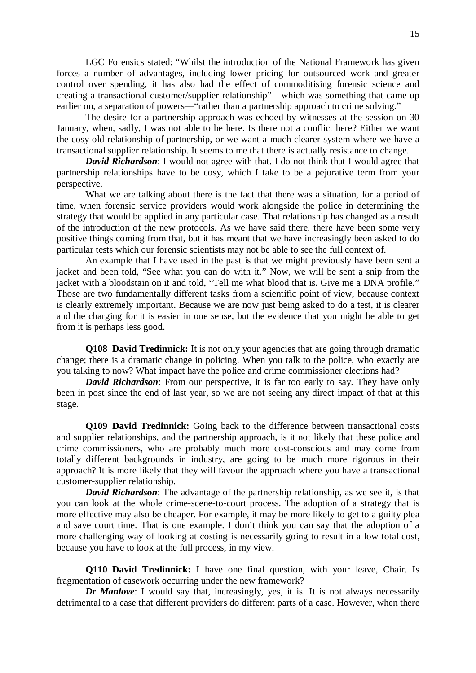LGC Forensics stated: "Whilst the introduction of the National Framework has given forces a number of advantages, including lower pricing for outsourced work and greater control over spending, it has also had the effect of commoditising forensic science and creating a transactional customer/supplier relationship"—which was something that came up earlier on, a separation of powers—"rather than a partnership approach to crime solving."

The desire for a partnership approach was echoed by witnesses at the session on 30 January, when, sadly, I was not able to be here. Is there not a conflict here? Either we want the cosy old relationship of partnership, or we want a much clearer system where we have a transactional supplier relationship. It seems to me that there is actually resistance to change.

*David Richardson*: I would not agree with that. I do not think that I would agree that partnership relationships have to be cosy, which I take to be a pejorative term from your perspective.

What we are talking about there is the fact that there was a situation, for a period of time, when forensic service providers would work alongside the police in determining the strategy that would be applied in any particular case. That relationship has changed as a result of the introduction of the new protocols. As we have said there, there have been some very positive things coming from that, but it has meant that we have increasingly been asked to do particular tests which our forensic scientists may not be able to see the full context of.

An example that I have used in the past is that we might previously have been sent a jacket and been told, "See what you can do with it." Now, we will be sent a snip from the jacket with a bloodstain on it and told, "Tell me what blood that is. Give me a DNA profile." Those are two fundamentally different tasks from a scientific point of view, because context is clearly extremely important. Because we are now just being asked to do a test, it is clearer and the charging for it is easier in one sense, but the evidence that you might be able to get from it is perhaps less good.

**Q108 David Tredinnick:** It is not only your agencies that are going through dramatic change; there is a dramatic change in policing. When you talk to the police, who exactly are you talking to now? What impact have the police and crime commissioner elections had?

*David Richardson*: From our perspective, it is far too early to say. They have only been in post since the end of last year, so we are not seeing any direct impact of that at this stage.

**Q109 David Tredinnick:** Going back to the difference between transactional costs and supplier relationships, and the partnership approach, is it not likely that these police and crime commissioners, who are probably much more cost-conscious and may come from totally different backgrounds in industry, are going to be much more rigorous in their approach? It is more likely that they will favour the approach where you have a transactional customer-supplier relationship.

*David Richardson*: The advantage of the partnership relationship, as we see it, is that you can look at the whole crime-scene-to-court process. The adoption of a strategy that is more effective may also be cheaper. For example, it may be more likely to get to a guilty plea and save court time. That is one example. I don't think you can say that the adoption of a more challenging way of looking at costing is necessarily going to result in a low total cost, because you have to look at the full process, in my view.

**Q110 David Tredinnick:** I have one final question, with your leave, Chair. Is fragmentation of casework occurring under the new framework?

*Dr Manlove*: I would say that, increasingly, yes, it is. It is not always necessarily detrimental to a case that different providers do different parts of a case. However, when there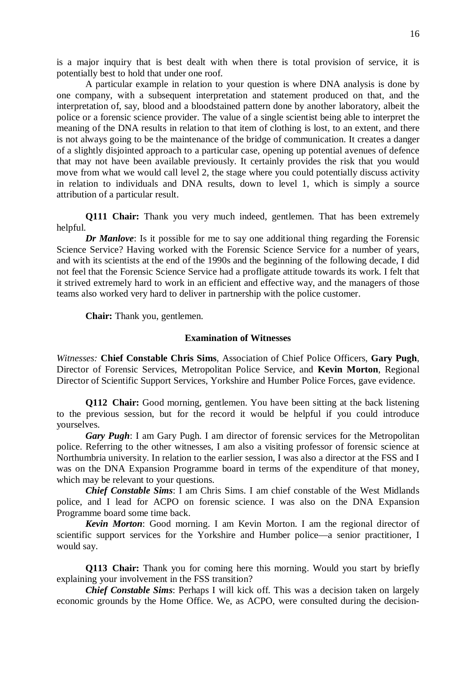is a major inquiry that is best dealt with when there is total provision of service, it is potentially best to hold that under one roof.

 A particular example in relation to your question is where DNA analysis is done by one company, with a subsequent interpretation and statement produced on that, and the interpretation of, say, blood and a bloodstained pattern done by another laboratory, albeit the police or a forensic science provider. The value of a single scientist being able to interpret the meaning of the DNA results in relation to that item of clothing is lost, to an extent, and there is not always going to be the maintenance of the bridge of communication. It creates a danger of a slightly disjointed approach to a particular case, opening up potential avenues of defence that may not have been available previously. It certainly provides the risk that you would move from what we would call level 2, the stage where you could potentially discuss activity in relation to individuals and DNA results, down to level 1, which is simply a source attribution of a particular result.

**Q111 Chair:** Thank you very much indeed, gentlemen. That has been extremely helpful.

*Dr Manlove*: Is it possible for me to say one additional thing regarding the Forensic Science Service? Having worked with the Forensic Science Service for a number of years, and with its scientists at the end of the 1990s and the beginning of the following decade, I did not feel that the Forensic Science Service had a profligate attitude towards its work. I felt that it strived extremely hard to work in an efficient and effective way, and the managers of those teams also worked very hard to deliver in partnership with the police customer.

 **Chair:** Thank you, gentlemen.

### **Examination of Witnesses**

*Witnesses:* **Chief Constable Chris Sims**, Association of Chief Police Officers, **Gary Pugh**, Director of Forensic Services, Metropolitan Police Service, and **Kevin Morton**, Regional Director of Scientific Support Services, Yorkshire and Humber Police Forces, gave evidence.

**Q112 Chair:** Good morning, gentlemen. You have been sitting at the back listening to the previous session, but for the record it would be helpful if you could introduce yourselves.

*Gary Pugh*: I am Gary Pugh. I am director of forensic services for the Metropolitan police. Referring to the other witnesses, I am also a visiting professor of forensic science at Northumbria university. In relation to the earlier session, I was also a director at the FSS and I was on the DNA Expansion Programme board in terms of the expenditure of that money, which may be relevant to your questions.

*Chief Constable Sims*: I am Chris Sims. I am chief constable of the West Midlands police, and I lead for ACPO on forensic science. I was also on the DNA Expansion Programme board some time back.

*Kevin Morton*: Good morning. I am Kevin Morton. I am the regional director of scientific support services for the Yorkshire and Humber police—a senior practitioner, I would say.

**Q113 Chair:** Thank you for coming here this morning. Would you start by briefly explaining your involvement in the FSS transition?

*Chief Constable Sims*: Perhaps I will kick off. This was a decision taken on largely economic grounds by the Home Office. We, as ACPO, were consulted during the decision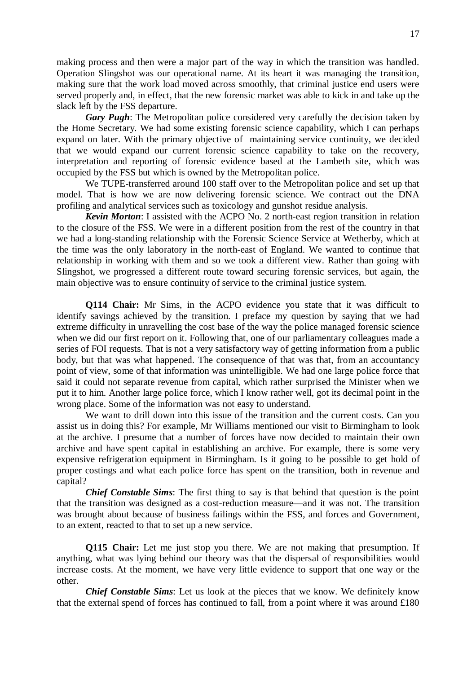making process and then were a major part of the way in which the transition was handled. Operation Slingshot was our operational name. At its heart it was managing the transition, making sure that the work load moved across smoothly, that criminal justice end users were served properly and, in effect, that the new forensic market was able to kick in and take up the slack left by the FSS departure.

*Gary Pugh*: The Metropolitan police considered very carefully the decision taken by the Home Secretary. We had some existing forensic science capability, which I can perhaps expand on later. With the primary objective of maintaining service continuity, we decided that we would expand our current forensic science capability to take on the recovery, interpretation and reporting of forensic evidence based at the Lambeth site, which was occupied by the FSS but which is owned by the Metropolitan police.

 We TUPE-transferred around 100 staff over to the Metropolitan police and set up that model. That is how we are now delivering forensic science. We contract out the DNA profiling and analytical services such as toxicology and gunshot residue analysis.

*Kevin Morton*: I assisted with the ACPO No. 2 north-east region transition in relation to the closure of the FSS. We were in a different position from the rest of the country in that we had a long-standing relationship with the Forensic Science Service at Wetherby, which at the time was the only laboratory in the north-east of England. We wanted to continue that relationship in working with them and so we took a different view. Rather than going with Slingshot, we progressed a different route toward securing forensic services, but again, the main objective was to ensure continuity of service to the criminal justice system.

**Q114 Chair:** Mr Sims, in the ACPO evidence you state that it was difficult to identify savings achieved by the transition. I preface my question by saying that we had extreme difficulty in unravelling the cost base of the way the police managed forensic science when we did our first report on it. Following that, one of our parliamentary colleagues made a series of FOI requests. That is not a very satisfactory way of getting information from a public body, but that was what happened. The consequence of that was that, from an accountancy point of view, some of that information was unintelligible. We had one large police force that said it could not separate revenue from capital, which rather surprised the Minister when we put it to him. Another large police force, which I know rather well, got its decimal point in the wrong place. Some of the information was not easy to understand.

 We want to drill down into this issue of the transition and the current costs. Can you assist us in doing this? For example, Mr Williams mentioned our visit to Birmingham to look at the archive. I presume that a number of forces have now decided to maintain their own archive and have spent capital in establishing an archive. For example, there is some very expensive refrigeration equipment in Birmingham. Is it going to be possible to get hold of proper costings and what each police force has spent on the transition, both in revenue and capital?

*Chief Constable Sims*: The first thing to say is that behind that question is the point that the transition was designed as a cost-reduction measure—and it was not. The transition was brought about because of business failings within the FSS, and forces and Government, to an extent, reacted to that to set up a new service.

**Q115 Chair:** Let me just stop you there. We are not making that presumption. If anything, what was lying behind our theory was that the dispersal of responsibilities would increase costs. At the moment, we have very little evidence to support that one way or the other.

*Chief Constable Sims*: Let us look at the pieces that we know. We definitely know that the external spend of forces has continued to fall, from a point where it was around £180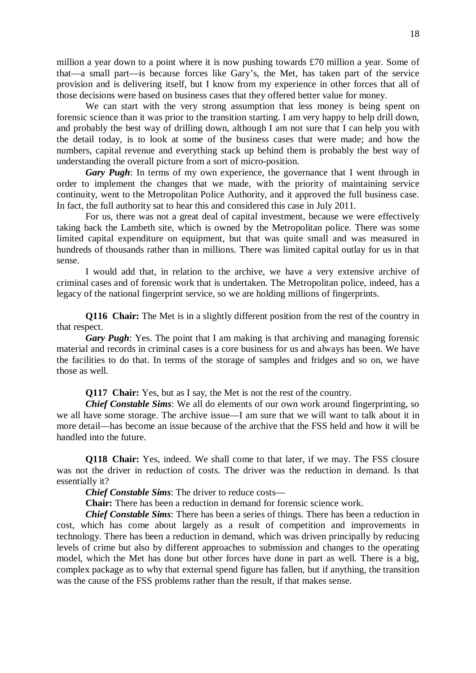million a year down to a point where it is now pushing towards £70 million a year. Some of that—a small part—is because forces like Gary's, the Met, has taken part of the service provision and is delivering itself, but I know from my experience in other forces that all of those decisions were based on business cases that they offered better value for money.

 We can start with the very strong assumption that less money is being spent on forensic science than it was prior to the transition starting. I am very happy to help drill down, and probably the best way of drilling down, although I am not sure that I can help you with the detail today, is to look at some of the business cases that were made; and how the numbers, capital revenue and everything stack up behind them is probably the best way of understanding the overall picture from a sort of micro-position.

*Gary Pugh*: In terms of my own experience, the governance that I went through in order to implement the changes that we made, with the priority of maintaining service continuity, went to the Metropolitan Police Authority, and it approved the full business case. In fact, the full authority sat to hear this and considered this case in July 2011.

 For us, there was not a great deal of capital investment, because we were effectively taking back the Lambeth site, which is owned by the Metropolitan police. There was some limited capital expenditure on equipment, but that was quite small and was measured in hundreds of thousands rather than in millions. There was limited capital outlay for us in that sense.

 I would add that, in relation to the archive, we have a very extensive archive of criminal cases and of forensic work that is undertaken. The Metropolitan police, indeed, has a legacy of the national fingerprint service, so we are holding millions of fingerprints.

**Q116 Chair:** The Met is in a slightly different position from the rest of the country in that respect.

*Gary Pugh*: Yes. The point that I am making is that archiving and managing forensic material and records in criminal cases is a core business for us and always has been. We have the facilities to do that. In terms of the storage of samples and fridges and so on, we have those as well.

**Q117 Chair:** Yes, but as I say, the Met is not the rest of the country.

*Chief Constable Sims*: We all do elements of our own work around fingerprinting, so we all have some storage. The archive issue—I am sure that we will want to talk about it in more detail—has become an issue because of the archive that the FSS held and how it will be handled into the future.

**Q118 Chair:** Yes, indeed. We shall come to that later, if we may. The FSS closure was not the driver in reduction of costs. The driver was the reduction in demand. Is that essentially it?

*Chief Constable Sims*: The driver to reduce costs—

**Chair:** There has been a reduction in demand for forensic science work.

*Chief Constable Sims*: There has been a series of things. There has been a reduction in cost, which has come about largely as a result of competition and improvements in technology. There has been a reduction in demand, which was driven principally by reducing levels of crime but also by different approaches to submission and changes to the operating model, which the Met has done but other forces have done in part as well. There is a big, complex package as to why that external spend figure has fallen, but if anything, the transition was the cause of the FSS problems rather than the result, if that makes sense.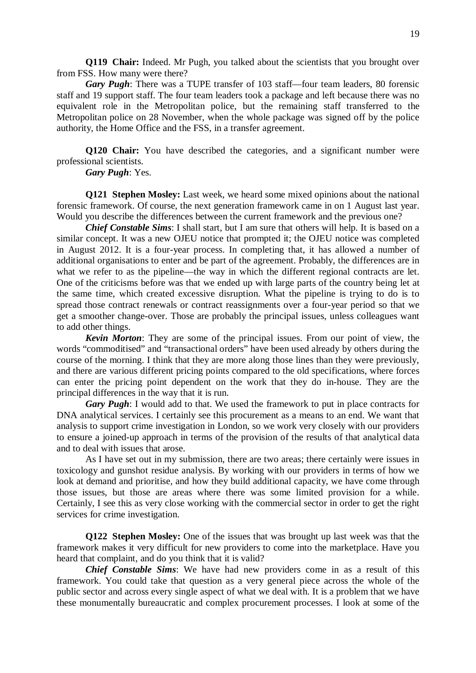**Q119 Chair:** Indeed. Mr Pugh, you talked about the scientists that you brought over from FSS. How many were there?

*Gary Pugh*: There was a TUPE transfer of 103 staff—four team leaders, 80 forensic staff and 19 support staff. The four team leaders took a package and left because there was no equivalent role in the Metropolitan police, but the remaining staff transferred to the Metropolitan police on 28 November, when the whole package was signed off by the police authority, the Home Office and the FSS, in a transfer agreement.

**Q120 Chair:** You have described the categories, and a significant number were professional scientists.

*Gary Pugh*: Yes.

**Q121 Stephen Mosley:** Last week, we heard some mixed opinions about the national forensic framework. Of course, the next generation framework came in on 1 August last year. Would you describe the differences between the current framework and the previous one?

*Chief Constable Sims*: I shall start, but I am sure that others will help. It is based on a similar concept. It was a new OJEU notice that prompted it; the OJEU notice was completed in August 2012. It is a four-year process. In completing that, it has allowed a number of additional organisations to enter and be part of the agreement. Probably, the differences are in what we refer to as the pipeline—the way in which the different regional contracts are let. One of the criticisms before was that we ended up with large parts of the country being let at the same time, which created excessive disruption. What the pipeline is trying to do is to spread those contract renewals or contract reassignments over a four-year period so that we get a smoother change-over. Those are probably the principal issues, unless colleagues want to add other things.

*Kevin Morton*: They are some of the principal issues. From our point of view, the words "commoditised" and "transactional orders" have been used already by others during the course of the morning. I think that they are more along those lines than they were previously, and there are various different pricing points compared to the old specifications, where forces can enter the pricing point dependent on the work that they do in-house. They are the principal differences in the way that it is run.

*Gary Pugh*: I would add to that. We used the framework to put in place contracts for DNA analytical services. I certainly see this procurement as a means to an end. We want that analysis to support crime investigation in London, so we work very closely with our providers to ensure a joined-up approach in terms of the provision of the results of that analytical data and to deal with issues that arose.

 As I have set out in my submission, there are two areas; there certainly were issues in toxicology and gunshot residue analysis. By working with our providers in terms of how we look at demand and prioritise, and how they build additional capacity, we have come through those issues, but those are areas where there was some limited provision for a while. Certainly, I see this as very close working with the commercial sector in order to get the right services for crime investigation.

**Q122 Stephen Mosley:** One of the issues that was brought up last week was that the framework makes it very difficult for new providers to come into the marketplace. Have you heard that complaint, and do you think that it is valid?

*Chief Constable Sims*: We have had new providers come in as a result of this framework. You could take that question as a very general piece across the whole of the public sector and across every single aspect of what we deal with. It is a problem that we have these monumentally bureaucratic and complex procurement processes. I look at some of the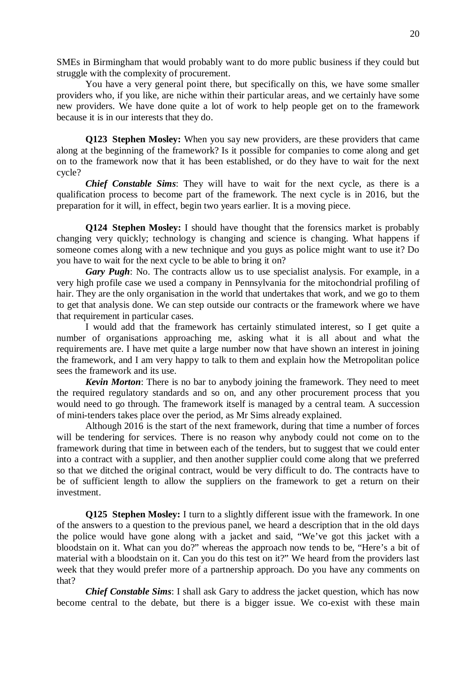SMEs in Birmingham that would probably want to do more public business if they could but struggle with the complexity of procurement.

 You have a very general point there, but specifically on this, we have some smaller providers who, if you like, are niche within their particular areas, and we certainly have some new providers. We have done quite a lot of work to help people get on to the framework because it is in our interests that they do.

**Q123 Stephen Mosley:** When you say new providers, are these providers that came along at the beginning of the framework? Is it possible for companies to come along and get on to the framework now that it has been established, or do they have to wait for the next cycle?

*Chief Constable Sims*: They will have to wait for the next cycle, as there is a qualification process to become part of the framework. The next cycle is in 2016, but the preparation for it will, in effect, begin two years earlier. It is a moving piece.

**Q124 Stephen Mosley:** I should have thought that the forensics market is probably changing very quickly; technology is changing and science is changing. What happens if someone comes along with a new technique and you guys as police might want to use it? Do you have to wait for the next cycle to be able to bring it on?

*Gary Pugh*: No. The contracts allow us to use specialist analysis. For example, in a very high profile case we used a company in Pennsylvania for the mitochondrial profiling of hair. They are the only organisation in the world that undertakes that work, and we go to them to get that analysis done. We can step outside our contracts or the framework where we have that requirement in particular cases.

 I would add that the framework has certainly stimulated interest, so I get quite a number of organisations approaching me, asking what it is all about and what the requirements are. I have met quite a large number now that have shown an interest in joining the framework, and I am very happy to talk to them and explain how the Metropolitan police sees the framework and its use.

*Kevin Morton*: There is no bar to anybody joining the framework. They need to meet the required regulatory standards and so on, and any other procurement process that you would need to go through. The framework itself is managed by a central team. A succession of mini-tenders takes place over the period, as Mr Sims already explained.

 Although 2016 is the start of the next framework, during that time a number of forces will be tendering for services. There is no reason why anybody could not come on to the framework during that time in between each of the tenders, but to suggest that we could enter into a contract with a supplier, and then another supplier could come along that we preferred so that we ditched the original contract, would be very difficult to do. The contracts have to be of sufficient length to allow the suppliers on the framework to get a return on their investment.

**Q125 Stephen Mosley:** I turn to a slightly different issue with the framework. In one of the answers to a question to the previous panel, we heard a description that in the old days the police would have gone along with a jacket and said, "We've got this jacket with a bloodstain on it. What can you do?" whereas the approach now tends to be, "Here's a bit of material with a bloodstain on it. Can you do this test on it?" We heard from the providers last week that they would prefer more of a partnership approach. Do you have any comments on that?

*Chief Constable Sims*: I shall ask Gary to address the jacket question, which has now become central to the debate, but there is a bigger issue. We co-exist with these main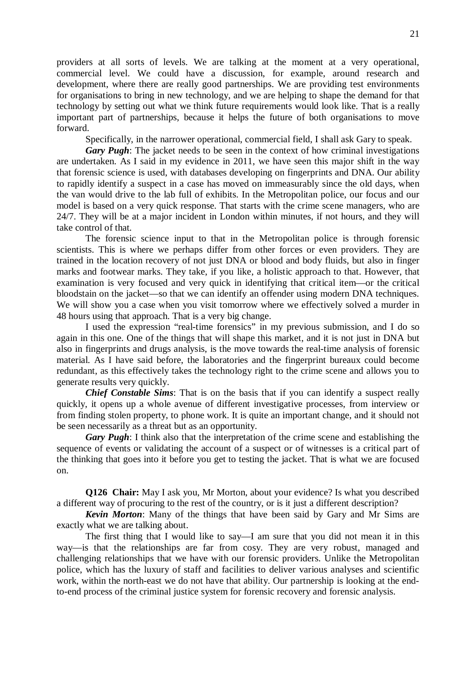providers at all sorts of levels. We are talking at the moment at a very operational, commercial level. We could have a discussion, for example, around research and development, where there are really good partnerships. We are providing test environments for organisations to bring in new technology, and we are helping to shape the demand for that technology by setting out what we think future requirements would look like. That is a really important part of partnerships, because it helps the future of both organisations to move forward.

Specifically, in the narrower operational, commercial field, I shall ask Gary to speak.

*Gary Pugh*: The jacket needs to be seen in the context of how criminal investigations are undertaken. As I said in my evidence in 2011, we have seen this major shift in the way that forensic science is used, with databases developing on fingerprints and DNA. Our ability to rapidly identify a suspect in a case has moved on immeasurably since the old days, when the van would drive to the lab full of exhibits. In the Metropolitan police, our focus and our model is based on a very quick response. That starts with the crime scene managers, who are 24/7. They will be at a major incident in London within minutes, if not hours, and they will take control of that.

 The forensic science input to that in the Metropolitan police is through forensic scientists. This is where we perhaps differ from other forces or even providers. They are trained in the location recovery of not just DNA or blood and body fluids, but also in finger marks and footwear marks. They take, if you like, a holistic approach to that. However, that examination is very focused and very quick in identifying that critical item—or the critical bloodstain on the jacket—so that we can identify an offender using modern DNA techniques. We will show you a case when you visit tomorrow where we effectively solved a murder in 48 hours using that approach. That is a very big change.

 I used the expression "real-time forensics" in my previous submission, and I do so again in this one. One of the things that will shape this market, and it is not just in DNA but also in fingerprints and drugs analysis, is the move towards the real-time analysis of forensic material. As I have said before, the laboratories and the fingerprint bureaux could become redundant, as this effectively takes the technology right to the crime scene and allows you to generate results very quickly.

*Chief Constable Sims*: That is on the basis that if you can identify a suspect really quickly, it opens up a whole avenue of different investigative processes, from interview or from finding stolen property, to phone work. It is quite an important change, and it should not be seen necessarily as a threat but as an opportunity.

*Gary Pugh*: I think also that the interpretation of the crime scene and establishing the sequence of events or validating the account of a suspect or of witnesses is a critical part of the thinking that goes into it before you get to testing the jacket. That is what we are focused on.

**Q126 Chair:** May I ask you, Mr Morton, about your evidence? Is what you described a different way of procuring to the rest of the country, or is it just a different description?

*Kevin Morton*: Many of the things that have been said by Gary and Mr Sims are exactly what we are talking about.

 The first thing that I would like to say—I am sure that you did not mean it in this way—is that the relationships are far from cosy. They are very robust, managed and challenging relationships that we have with our forensic providers. Unlike the Metropolitan police, which has the luxury of staff and facilities to deliver various analyses and scientific work, within the north-east we do not have that ability. Our partnership is looking at the endto-end process of the criminal justice system for forensic recovery and forensic analysis.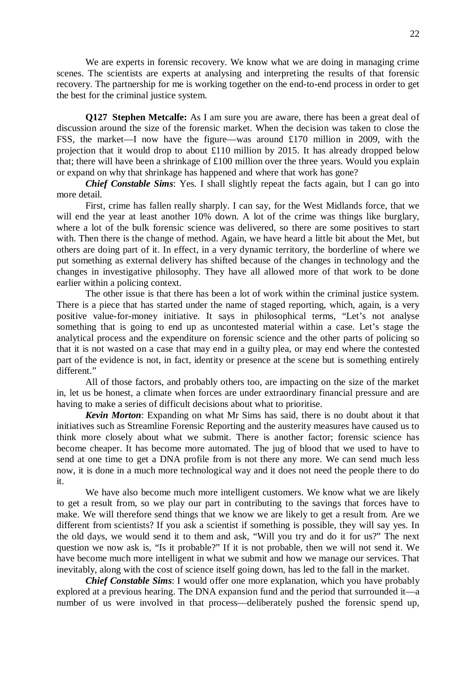We are experts in forensic recovery. We know what we are doing in managing crime scenes. The scientists are experts at analysing and interpreting the results of that forensic recovery. The partnership for me is working together on the end-to-end process in order to get the best for the criminal justice system.

**Q127 Stephen Metcalfe:** As I am sure you are aware, there has been a great deal of discussion around the size of the forensic market. When the decision was taken to close the FSS, the market—I now have the figure—was around £170 million in 2009, with the projection that it would drop to about £110 million by 2015. It has already dropped below that; there will have been a shrinkage of £100 million over the three years. Would you explain or expand on why that shrinkage has happened and where that work has gone?

*Chief Constable Sims*: Yes. I shall slightly repeat the facts again, but I can go into more detail.

 First, crime has fallen really sharply. I can say, for the West Midlands force, that we will end the year at least another 10% down. A lot of the crime was things like burglary, where a lot of the bulk forensic science was delivered, so there are some positives to start with. Then there is the change of method. Again, we have heard a little bit about the Met, but others are doing part of it. In effect, in a very dynamic territory, the borderline of where we put something as external delivery has shifted because of the changes in technology and the changes in investigative philosophy. They have all allowed more of that work to be done earlier within a policing context.

 The other issue is that there has been a lot of work within the criminal justice system. There is a piece that has started under the name of staged reporting, which, again, is a very positive value-for-money initiative. It says in philosophical terms, "Let's not analyse something that is going to end up as uncontested material within a case. Let's stage the analytical process and the expenditure on forensic science and the other parts of policing so that it is not wasted on a case that may end in a guilty plea, or may end where the contested part of the evidence is not, in fact, identity or presence at the scene but is something entirely different."

 All of those factors, and probably others too, are impacting on the size of the market in, let us be honest, a climate when forces are under extraordinary financial pressure and are having to make a series of difficult decisions about what to prioritise.

*Kevin Morton*: Expanding on what Mr Sims has said, there is no doubt about it that initiatives such as Streamline Forensic Reporting and the austerity measures have caused us to think more closely about what we submit. There is another factor; forensic science has become cheaper. It has become more automated. The jug of blood that we used to have to send at one time to get a DNA profile from is not there any more. We can send much less now, it is done in a much more technological way and it does not need the people there to do it.

 We have also become much more intelligent customers. We know what we are likely to get a result from, so we play our part in contributing to the savings that forces have to make. We will therefore send things that we know we are likely to get a result from. Are we different from scientists? If you ask a scientist if something is possible, they will say yes. In the old days, we would send it to them and ask, "Will you try and do it for us?" The next question we now ask is, "Is it probable?" If it is not probable, then we will not send it. We have become much more intelligent in what we submit and how we manage our services. That inevitably, along with the cost of science itself going down, has led to the fall in the market.

*Chief Constable Sims*: I would offer one more explanation, which you have probably explored at a previous hearing. The DNA expansion fund and the period that surrounded it—a number of us were involved in that process—deliberately pushed the forensic spend up,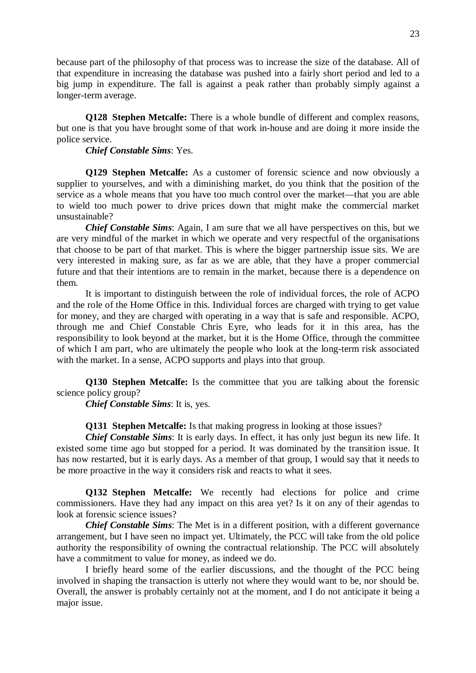because part of the philosophy of that process was to increase the size of the database. All of that expenditure in increasing the database was pushed into a fairly short period and led to a big jump in expenditure. The fall is against a peak rather than probably simply against a longer-term average.

**Q128 Stephen Metcalfe:** There is a whole bundle of different and complex reasons, but one is that you have brought some of that work in-house and are doing it more inside the police service.

*Chief Constable Sims*: Yes.

**Q129 Stephen Metcalfe:** As a customer of forensic science and now obviously a supplier to yourselves, and with a diminishing market, do you think that the position of the service as a whole means that you have too much control over the market—that you are able to wield too much power to drive prices down that might make the commercial market unsustainable?

*Chief Constable Sims*: Again, I am sure that we all have perspectives on this, but we are very mindful of the market in which we operate and very respectful of the organisations that choose to be part of that market. This is where the bigger partnership issue sits. We are very interested in making sure, as far as we are able, that they have a proper commercial future and that their intentions are to remain in the market, because there is a dependence on them.

 It is important to distinguish between the role of individual forces, the role of ACPO and the role of the Home Office in this. Individual forces are charged with trying to get value for money, and they are charged with operating in a way that is safe and responsible. ACPO, through me and Chief Constable Chris Eyre, who leads for it in this area, has the responsibility to look beyond at the market, but it is the Home Office, through the committee of which I am part, who are ultimately the people who look at the long-term risk associated with the market. In a sense, ACPO supports and plays into that group.

**Q130 Stephen Metcalfe:** Is the committee that you are talking about the forensic science policy group?

*Chief Constable Sims*: It is, yes.

**Q131 Stephen Metcalfe:** Is that making progress in looking at those issues?

*Chief Constable Sims*: It is early days. In effect, it has only just begun its new life. It existed some time ago but stopped for a period. It was dominated by the transition issue. It has now restarted, but it is early days. As a member of that group, I would say that it needs to be more proactive in the way it considers risk and reacts to what it sees.

**Q132 Stephen Metcalfe:** We recently had elections for police and crime commissioners. Have they had any impact on this area yet? Is it on any of their agendas to look at forensic science issues?

*Chief Constable Sims*: The Met is in a different position, with a different governance arrangement, but I have seen no impact yet. Ultimately, the PCC will take from the old police authority the responsibility of owning the contractual relationship. The PCC will absolutely have a commitment to value for money, as indeed we do.

 I briefly heard some of the earlier discussions, and the thought of the PCC being involved in shaping the transaction is utterly not where they would want to be, nor should be. Overall, the answer is probably certainly not at the moment, and I do not anticipate it being a major issue.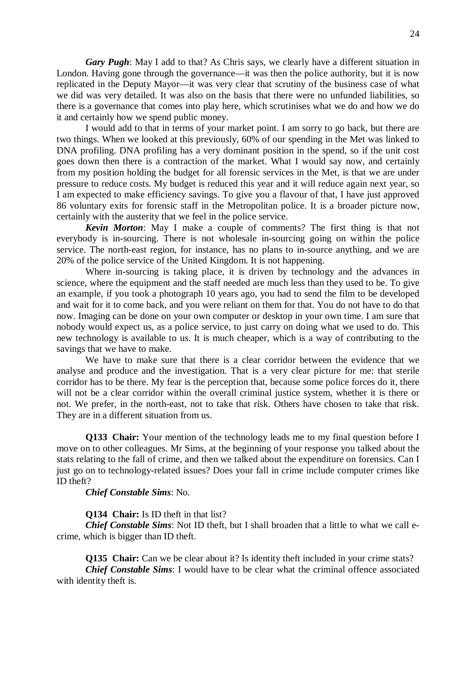*Gary Pugh*: May I add to that? As Chris says, we clearly have a different situation in London. Having gone through the governance—it was then the police authority, but it is now replicated in the Deputy Mayor—it was very clear that scrutiny of the business case of what we did was very detailed. It was also on the basis that there were no unfunded liabilities, so there is a governance that comes into play here, which scrutinises what we do and how we do it and certainly how we spend public money.

 I would add to that in terms of your market point. I am sorry to go back, but there are two things. When we looked at this previously, 60% of our spending in the Met was linked to DNA profiling. DNA profiling has a very dominant position in the spend, so if the unit cost goes down then there is a contraction of the market. What I would say now, and certainly from my position holding the budget for all forensic services in the Met, is that we are under pressure to reduce costs. My budget is reduced this year and it will reduce again next year, so I am expected to make efficiency savings. To give you a flavour of that, I have just approved 86 voluntary exits for forensic staff in the Metropolitan police. It is a broader picture now, certainly with the austerity that we feel in the police service.

*Kevin Morton*: May I make a couple of comments? The first thing is that not everybody is in-sourcing. There is not wholesale in-sourcing going on within the police service. The north-east region, for instance, has no plans to in-source anything, and we are 20% of the police service of the United Kingdom. It is not happening.

 Where in-sourcing is taking place, it is driven by technology and the advances in science, where the equipment and the staff needed are much less than they used to be. To give an example, if you took a photograph 10 years ago, you had to send the film to be developed and wait for it to come back, and you were reliant on them for that. You do not have to do that now. Imaging can be done on your own computer or desktop in your own time. I am sure that nobody would expect us, as a police service, to just carry on doing what we used to do. This new technology is available to us. It is much cheaper, which is a way of contributing to the savings that we have to make.

 We have to make sure that there is a clear corridor between the evidence that we analyse and produce and the investigation. That is a very clear picture for me: that sterile corridor has to be there. My fear is the perception that, because some police forces do it, there will not be a clear corridor within the overall criminal justice system, whether it is there or not. We prefer, in the north-east, not to take that risk. Others have chosen to take that risk. They are in a different situation from us.

**Q133 Chair:** Your mention of the technology leads me to my final question before I move on to other colleagues. Mr Sims, at the beginning of your response you talked about the stats relating to the fall of crime, and then we talked about the expenditure on forensics. Can I just go on to technology-related issues? Does your fall in crime include computer crimes like ID theft?

*Chief Constable Sims*: No.

**Q134 Chair:** Is ID theft in that list?

*Chief Constable Sims*: Not ID theft, but I shall broaden that a little to what we call ecrime, which is bigger than ID theft.

**Q135 Chair:** Can we be clear about it? Is identity theft included in your crime stats? *Chief Constable Sims*: I would have to be clear what the criminal offence associated with identity theft is.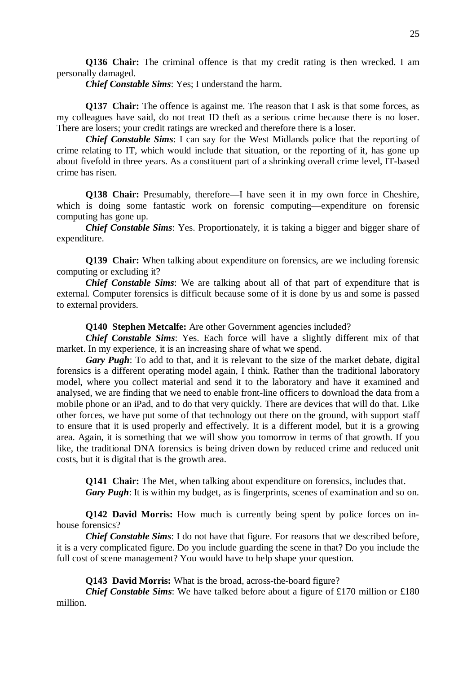**Q136 Chair:** The criminal offence is that my credit rating is then wrecked. I am personally damaged.

*Chief Constable Sims*: Yes; I understand the harm.

**Q137 Chair:** The offence is against me. The reason that I ask is that some forces, as my colleagues have said, do not treat ID theft as a serious crime because there is no loser. There are losers; your credit ratings are wrecked and therefore there is a loser.

*Chief Constable Sims*: I can say for the West Midlands police that the reporting of crime relating to IT, which would include that situation, or the reporting of it, has gone up about fivefold in three years. As a constituent part of a shrinking overall crime level, IT-based crime has risen.

**Q138 Chair:** Presumably, therefore—I have seen it in my own force in Cheshire, which is doing some fantastic work on forensic computing—expenditure on forensic computing has gone up.

*Chief Constable Sims*: Yes. Proportionately, it is taking a bigger and bigger share of expenditure.

**Q139 Chair:** When talking about expenditure on forensics, are we including forensic computing or excluding it?

*Chief Constable Sims*: We are talking about all of that part of expenditure that is external. Computer forensics is difficult because some of it is done by us and some is passed to external providers.

**Q140 Stephen Metcalfe:** Are other Government agencies included?

*Chief Constable Sims*: Yes. Each force will have a slightly different mix of that market. In my experience, it is an increasing share of what we spend.

*Gary Pugh*: To add to that, and it is relevant to the size of the market debate, digital forensics is a different operating model again, I think. Rather than the traditional laboratory model, where you collect material and send it to the laboratory and have it examined and analysed, we are finding that we need to enable front-line officers to download the data from a mobile phone or an iPad, and to do that very quickly. There are devices that will do that. Like other forces, we have put some of that technology out there on the ground, with support staff to ensure that it is used properly and effectively. It is a different model, but it is a growing area. Again, it is something that we will show you tomorrow in terms of that growth. If you like, the traditional DNA forensics is being driven down by reduced crime and reduced unit costs, but it is digital that is the growth area.

**Q141 Chair:** The Met, when talking about expenditure on forensics, includes that.

*Gary Pugh*: It is within my budget, as is fingerprints, scenes of examination and so on.

**Q142 David Morris:** How much is currently being spent by police forces on inhouse forensics?

*Chief Constable Sims*: I do not have that figure. For reasons that we described before, it is a very complicated figure. Do you include guarding the scene in that? Do you include the full cost of scene management? You would have to help shape your question.

**Q143 David Morris:** What is the broad, across-the-board figure?

*Chief Constable Sims*: We have talked before about a figure of £170 million or £180 million.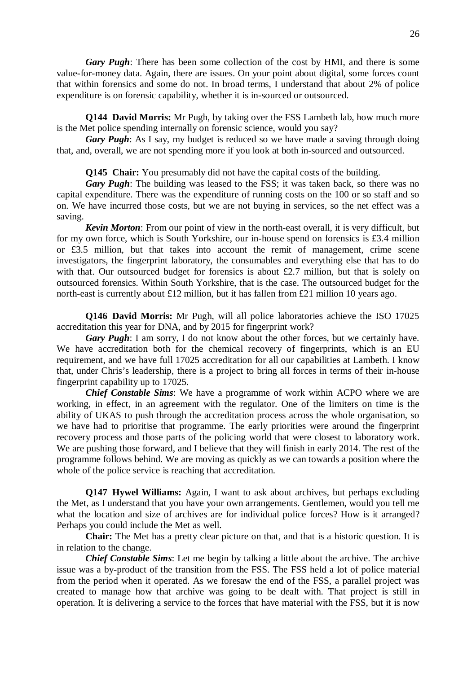*Gary Pugh*: There has been some collection of the cost by HMI, and there is some value-for-money data. Again, there are issues. On your point about digital, some forces count that within forensics and some do not. In broad terms, I understand that about 2% of police expenditure is on forensic capability, whether it is in-sourced or outsourced.

**Q144 David Morris:** Mr Pugh, by taking over the FSS Lambeth lab, how much more is the Met police spending internally on forensic science, would you say?

*Gary Pugh*: As I say, my budget is reduced so we have made a saving through doing that, and, overall, we are not spending more if you look at both in-sourced and outsourced.

**Q145 Chair:** You presumably did not have the capital costs of the building.

*Gary Pugh*: The building was leased to the FSS; it was taken back, so there was no capital expenditure. There was the expenditure of running costs on the 100 or so staff and so on. We have incurred those costs, but we are not buying in services, so the net effect was a saving.

*Kevin Morton*: From our point of view in the north-east overall, it is very difficult, but for my own force, which is South Yorkshire, our in-house spend on forensics is £3.4 million or £3.5 million, but that takes into account the remit of management, crime scene investigators, the fingerprint laboratory, the consumables and everything else that has to do with that. Our outsourced budget for forensics is about £2.7 million, but that is solely on outsourced forensics. Within South Yorkshire, that is the case. The outsourced budget for the north-east is currently about £12 million, but it has fallen from £21 million 10 years ago.

**Q146 David Morris:** Mr Pugh, will all police laboratories achieve the ISO 17025 accreditation this year for DNA, and by 2015 for fingerprint work?

*Gary Pugh*: I am sorry, I do not know about the other forces, but we certainly have. We have accreditation both for the chemical recovery of fingerprints, which is an EU requirement, and we have full 17025 accreditation for all our capabilities at Lambeth. I know that, under Chris's leadership, there is a project to bring all forces in terms of their in-house fingerprint capability up to 17025.

*Chief Constable Sims*: We have a programme of work within ACPO where we are working, in effect, in an agreement with the regulator. One of the limiters on time is the ability of UKAS to push through the accreditation process across the whole organisation, so we have had to prioritise that programme. The early priorities were around the fingerprint recovery process and those parts of the policing world that were closest to laboratory work. We are pushing those forward, and I believe that they will finish in early 2014. The rest of the programme follows behind. We are moving as quickly as we can towards a position where the whole of the police service is reaching that accreditation.

**Q147 Hywel Williams:** Again, I want to ask about archives, but perhaps excluding the Met, as I understand that you have your own arrangements. Gentlemen, would you tell me what the location and size of archives are for individual police forces? How is it arranged? Perhaps you could include the Met as well.

 **Chair:** The Met has a pretty clear picture on that, and that is a historic question. It is in relation to the change.

*Chief Constable Sims*: Let me begin by talking a little about the archive. The archive issue was a by-product of the transition from the FSS. The FSS held a lot of police material from the period when it operated. As we foresaw the end of the FSS, a parallel project was created to manage how that archive was going to be dealt with. That project is still in operation. It is delivering a service to the forces that have material with the FSS, but it is now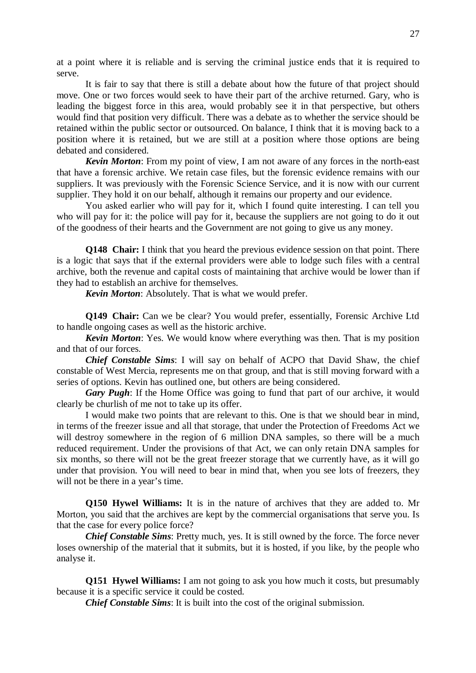at a point where it is reliable and is serving the criminal justice ends that it is required to serve.

 It is fair to say that there is still a debate about how the future of that project should move. One or two forces would seek to have their part of the archive returned. Gary, who is leading the biggest force in this area, would probably see it in that perspective, but others would find that position very difficult. There was a debate as to whether the service should be retained within the public sector or outsourced. On balance, I think that it is moving back to a position where it is retained, but we are still at a position where those options are being debated and considered.

*Kevin Morton*: From my point of view, I am not aware of any forces in the north-east that have a forensic archive. We retain case files, but the forensic evidence remains with our suppliers. It was previously with the Forensic Science Service, and it is now with our current supplier. They hold it on our behalf, although it remains our property and our evidence.

 You asked earlier who will pay for it, which I found quite interesting. I can tell you who will pay for it: the police will pay for it, because the suppliers are not going to do it out of the goodness of their hearts and the Government are not going to give us any money.

**Q148 Chair:** I think that you heard the previous evidence session on that point. There is a logic that says that if the external providers were able to lodge such files with a central archive, both the revenue and capital costs of maintaining that archive would be lower than if they had to establish an archive for themselves.

*Kevin Morton*: Absolutely. That is what we would prefer.

**Q149 Chair:** Can we be clear? You would prefer, essentially, Forensic Archive Ltd to handle ongoing cases as well as the historic archive.

*Kevin Morton*: Yes. We would know where everything was then. That is my position and that of our forces.

*Chief Constable Sims*: I will say on behalf of ACPO that David Shaw, the chief constable of West Mercia, represents me on that group, and that is still moving forward with a series of options. Kevin has outlined one, but others are being considered.

*Gary Pugh*: If the Home Office was going to fund that part of our archive, it would clearly be churlish of me not to take up its offer.

 I would make two points that are relevant to this. One is that we should bear in mind, in terms of the freezer issue and all that storage, that under the Protection of Freedoms Act we will destroy somewhere in the region of 6 million DNA samples, so there will be a much reduced requirement. Under the provisions of that Act, we can only retain DNA samples for six months, so there will not be the great freezer storage that we currently have, as it will go under that provision. You will need to bear in mind that, when you see lots of freezers, they will not be there in a year's time.

**Q150 Hywel Williams:** It is in the nature of archives that they are added to. Mr Morton, you said that the archives are kept by the commercial organisations that serve you. Is that the case for every police force?

*Chief Constable Sims*: Pretty much, yes. It is still owned by the force. The force never loses ownership of the material that it submits, but it is hosted, if you like, by the people who analyse it.

**Q151 Hywel Williams:** I am not going to ask you how much it costs, but presumably because it is a specific service it could be costed.

*Chief Constable Sims*: It is built into the cost of the original submission.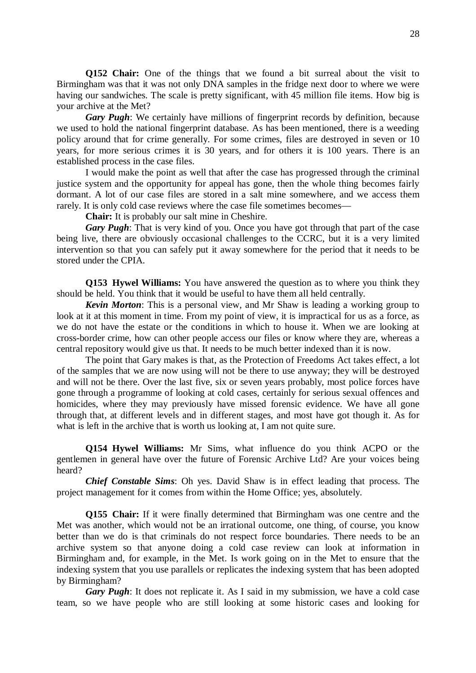**Q152 Chair:** One of the things that we found a bit surreal about the visit to Birmingham was that it was not only DNA samples in the fridge next door to where we were having our sandwiches. The scale is pretty significant, with 45 million file items. How big is your archive at the Met?

*Gary Pugh*: We certainly have millions of fingerprint records by definition, because we used to hold the national fingerprint database. As has been mentioned, there is a weeding policy around that for crime generally. For some crimes, files are destroyed in seven or 10 years, for more serious crimes it is 30 years, and for others it is 100 years. There is an established process in the case files.

 I would make the point as well that after the case has progressed through the criminal justice system and the opportunity for appeal has gone, then the whole thing becomes fairly dormant. A lot of our case files are stored in a salt mine somewhere, and we access them rarely. It is only cold case reviews where the case file sometimes becomes—

**Chair:** It is probably our salt mine in Cheshire.

*Gary Pugh*: That is very kind of you. Once you have got through that part of the case being live, there are obviously occasional challenges to the CCRC, but it is a very limited intervention so that you can safely put it away somewhere for the period that it needs to be stored under the CPIA.

**Q153 Hywel Williams:** You have answered the question as to where you think they should be held. You think that it would be useful to have them all held centrally.

*Kevin Morton*: This is a personal view, and Mr Shaw is leading a working group to look at it at this moment in time. From my point of view, it is impractical for us as a force, as we do not have the estate or the conditions in which to house it. When we are looking at cross-border crime, how can other people access our files or know where they are, whereas a central repository would give us that. It needs to be much better indexed than it is now.

 The point that Gary makes is that, as the Protection of Freedoms Act takes effect, a lot of the samples that we are now using will not be there to use anyway; they will be destroyed and will not be there. Over the last five, six or seven years probably, most police forces have gone through a programme of looking at cold cases, certainly for serious sexual offences and homicides, where they may previously have missed forensic evidence. We have all gone through that, at different levels and in different stages, and most have got though it. As for what is left in the archive that is worth us looking at, I am not quite sure.

**Q154 Hywel Williams:** Mr Sims, what influence do you think ACPO or the gentlemen in general have over the future of Forensic Archive Ltd? Are your voices being heard?

*Chief Constable Sims*: Oh yes. David Shaw is in effect leading that process. The project management for it comes from within the Home Office; yes, absolutely.

**Q155 Chair:** If it were finally determined that Birmingham was one centre and the Met was another, which would not be an irrational outcome, one thing, of course, you know better than we do is that criminals do not respect force boundaries. There needs to be an archive system so that anyone doing a cold case review can look at information in Birmingham and, for example, in the Met. Is work going on in the Met to ensure that the indexing system that you use parallels or replicates the indexing system that has been adopted by Birmingham?

*Gary Pugh*: It does not replicate it. As I said in my submission, we have a cold case team, so we have people who are still looking at some historic cases and looking for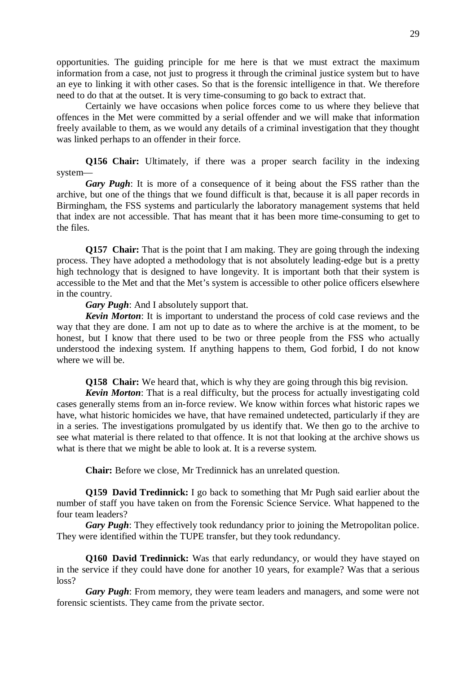opportunities. The guiding principle for me here is that we must extract the maximum information from a case, not just to progress it through the criminal justice system but to have an eye to linking it with other cases. So that is the forensic intelligence in that. We therefore need to do that at the outset. It is very time-consuming to go back to extract that.

 Certainly we have occasions when police forces come to us where they believe that offences in the Met were committed by a serial offender and we will make that information freely available to them, as we would any details of a criminal investigation that they thought was linked perhaps to an offender in their force.

**Q156 Chair:** Ultimately, if there was a proper search facility in the indexing system—

*Gary Pugh*: It is more of a consequence of it being about the FSS rather than the archive, but one of the things that we found difficult is that, because it is all paper records in Birmingham, the FSS systems and particularly the laboratory management systems that held that index are not accessible. That has meant that it has been more time-consuming to get to the files.

**Q157 Chair:** That is the point that I am making. They are going through the indexing process. They have adopted a methodology that is not absolutely leading-edge but is a pretty high technology that is designed to have longevity. It is important both that their system is accessible to the Met and that the Met's system is accessible to other police officers elsewhere in the country.

*Gary Pugh*: And I absolutely support that.

*Kevin Morton*: It is important to understand the process of cold case reviews and the way that they are done. I am not up to date as to where the archive is at the moment, to be honest, but I know that there used to be two or three people from the FSS who actually understood the indexing system. If anything happens to them, God forbid, I do not know where we will be.

**Q158 Chair:** We heard that, which is why they are going through this big revision.

*Kevin Morton*: That is a real difficulty, but the process for actually investigating cold cases generally stems from an in-force review. We know within forces what historic rapes we have, what historic homicides we have, that have remained undetected, particularly if they are in a series. The investigations promulgated by us identify that. We then go to the archive to see what material is there related to that offence. It is not that looking at the archive shows us what is there that we might be able to look at. It is a reverse system.

 **Chair:** Before we close, Mr Tredinnick has an unrelated question.

**Q159 David Tredinnick:** I go back to something that Mr Pugh said earlier about the number of staff you have taken on from the Forensic Science Service. What happened to the four team leaders?

*Gary Pugh*: They effectively took redundancy prior to joining the Metropolitan police. They were identified within the TUPE transfer, but they took redundancy.

**Q160 David Tredinnick:** Was that early redundancy, or would they have stayed on in the service if they could have done for another 10 years, for example? Was that a serious loss?

*Gary Pugh*: From memory, they were team leaders and managers, and some were not forensic scientists. They came from the private sector.